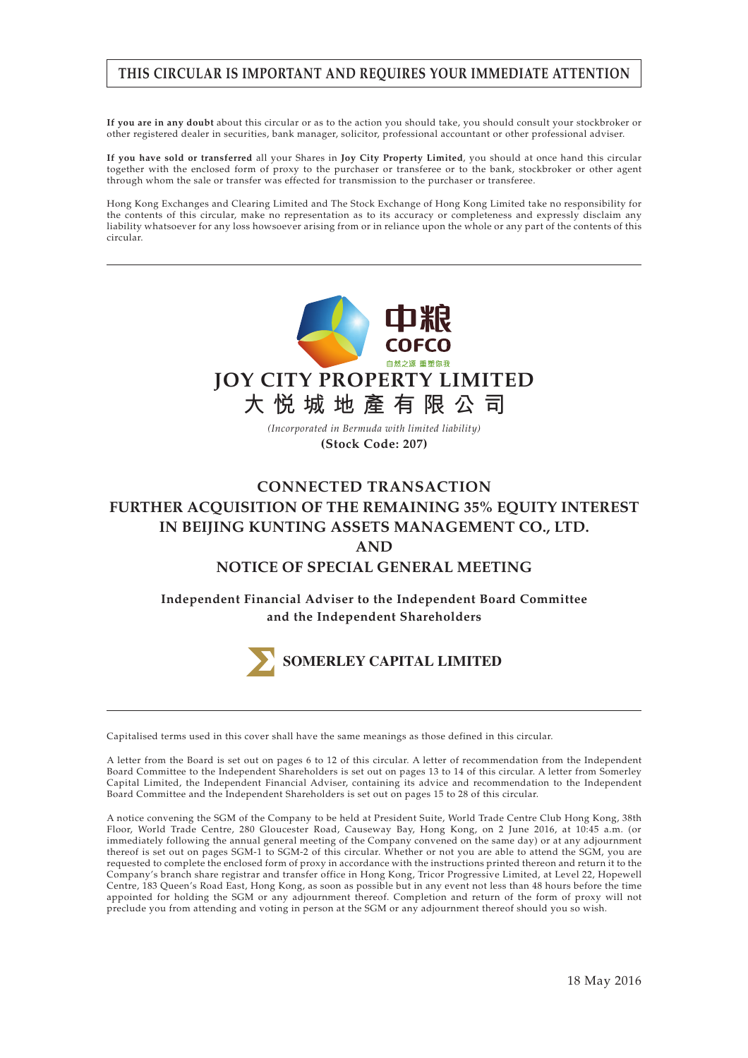# **THIS CIRCULAR IS IMPORTANT AND REQUIRES YOUR IMMEDIATE ATTENTION**

**If you are in any doubt** about this circular or as to the action you should take, you should consult your stockbroker or other registered dealer in securities, bank manager, solicitor, professional accountant or other professional adviser.

**If you have sold or transferred** all your Shares in **Joy City Property Limited**, you should at once hand this circular together with the enclosed form of proxy to the purchaser or transferee or to the bank, stockbroker or other agent through whom the sale or transfer was effected for transmission to the purchaser or transferee.

Hong Kong Exchanges and Clearing Limited and The Stock Exchange of Hong Kong Limited take no responsibility for the contents of this circular, make no representation as to its accuracy or completeness and expressly disclaim any liability whatsoever for any loss howsoever arising from or in reliance upon the whole or any part of the contents of this circular.



# **CONNECTED TRANSACTION FURTHER ACQUISITION OF THE REMAINING 35% EQUITY INTEREST IN BEIJING KUNTING ASSETS MANAGEMENT CO., LTD. AND NOTICE OF SPECIAL GENERAL MEETING**

**Independent Financial Adviser to the Independent Board Committee and the Independent Shareholders**



Capitalised terms used in this cover shall have the same meanings as those defined in this circular.

A letter from the Board is set out on pages 6 to 12 of this circular. A letter of recommendation from the Independent Board Committee to the Independent Shareholders is set out on pages 13 to 14 of this circular. A letter from Somerley Capital Limited, the Independent Financial Adviser, containing its advice and recommendation to the Independent Board Committee and the Independent Shareholders is set out on pages 15 to 28 of this circular.

A notice convening the SGM of the Company to be held at President Suite, World Trade Centre Club Hong Kong, 38th Floor, World Trade Centre, 280 Gloucester Road, Causeway Bay, Hong Kong, on 2 June 2016, at 10:45 a.m. (or immediately following the annual general meeting of the Company convened on the same day) or at any adjournment thereof is set out on pages SGM-1 to SGM-2 of this circular. Whether or not you are able to attend the SGM, you are requested to complete the enclosed form of proxy in accordance with the instructions printed thereon and return it to the Company's branch share registrar and transfer office in Hong Kong, Tricor Progressive Limited, at Level 22, Hopewell Centre, 183 Queen's Road East, Hong Kong, as soon as possible but in any event not less than 48 hours before the time appointed for holding the SGM or any adjournment thereof. Completion and return of the form of proxy will not preclude you from attending and voting in person at the SGM or any adjournment thereof should you so wish.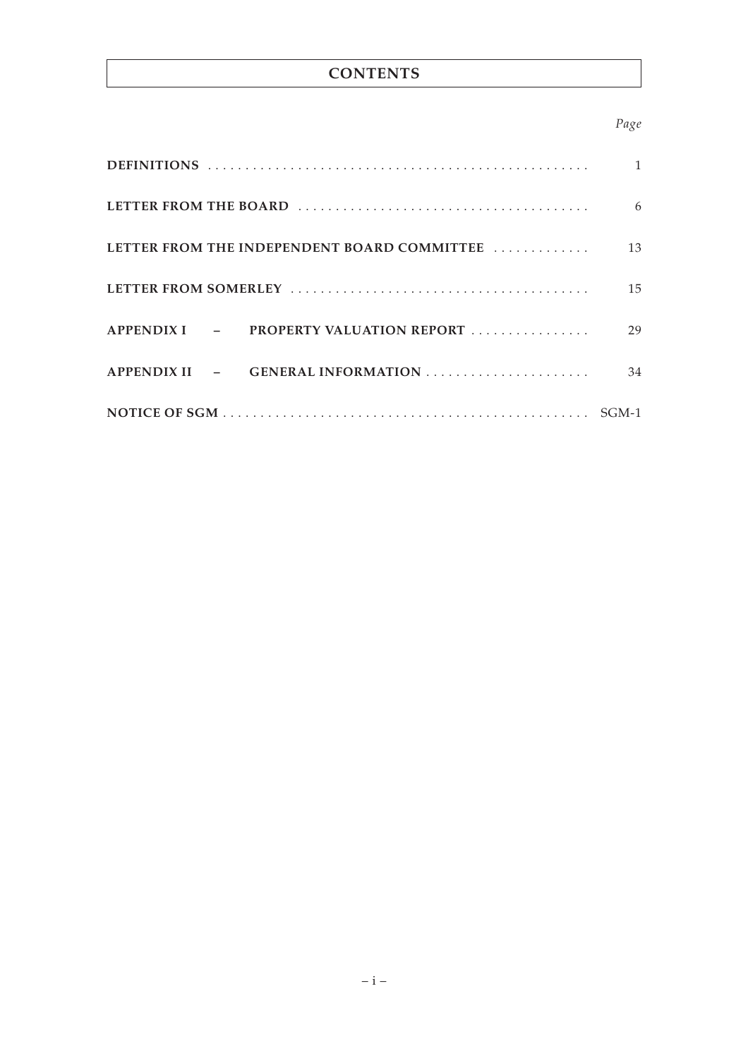# **CONTENTS**

# *Page*

|                                             | 6  |
|---------------------------------------------|----|
| LETTER FROM THE INDEPENDENT BOARD COMMITTEE | 13 |
|                                             | 15 |
| PROPERTY VALUATION REPORT<br>$APPENDIXI$ –  | 29 |
| APPENDIX II - GENERAL INFORMATION           | 34 |
|                                             |    |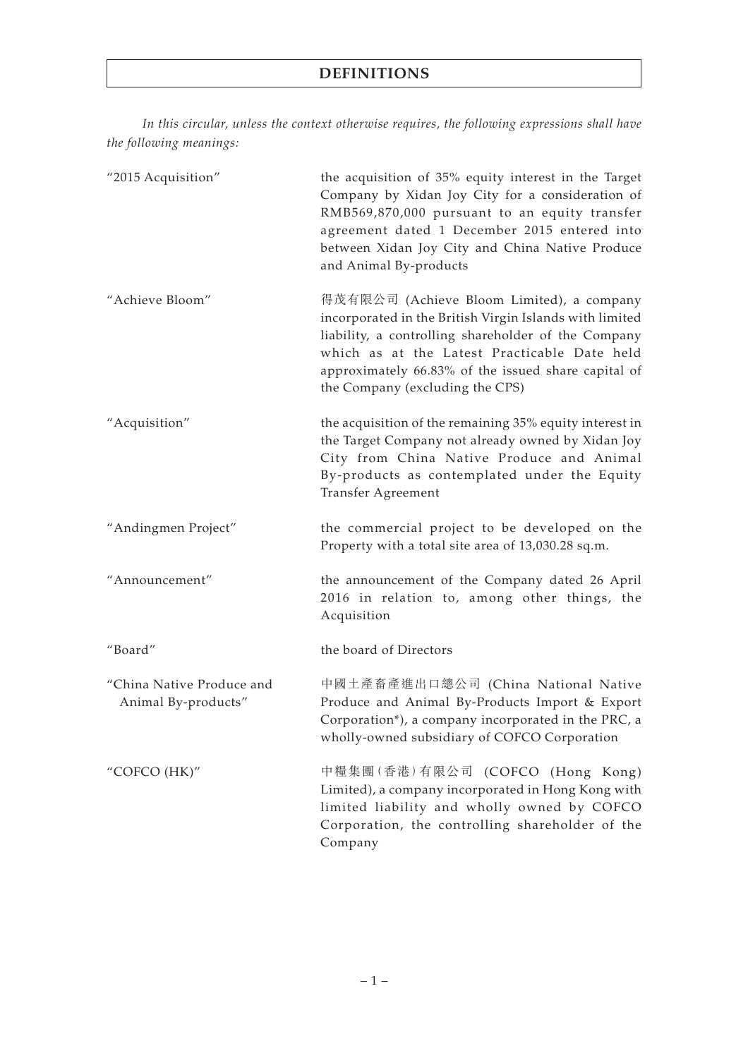*In this circular, unless the context otherwise requires, the following expressions shall have the following meanings:*

| "2015 Acquisition"                               | the acquisition of 35% equity interest in the Target<br>Company by Xidan Joy City for a consideration of<br>RMB569,870,000 pursuant to an equity transfer<br>agreement dated 1 December 2015 entered into<br>between Xidan Joy City and China Native Produce<br>and Animal By-products                |
|--------------------------------------------------|-------------------------------------------------------------------------------------------------------------------------------------------------------------------------------------------------------------------------------------------------------------------------------------------------------|
| "Achieve Bloom"                                  | 得茂有限公司 (Achieve Bloom Limited), a company<br>incorporated in the British Virgin Islands with limited<br>liability, a controlling shareholder of the Company<br>which as at the Latest Practicable Date held<br>approximately 66.83% of the issued share capital of<br>the Company (excluding the CPS) |
| "Acquisition"                                    | the acquisition of the remaining 35% equity interest in<br>the Target Company not already owned by Xidan Joy<br>City from China Native Produce and Animal<br>By-products as contemplated under the Equity<br><b>Transfer Agreement</b>                                                                |
| "Andingmen Project"                              | the commercial project to be developed on the<br>Property with a total site area of 13,030.28 sq.m.                                                                                                                                                                                                   |
| "Announcement"                                   | the announcement of the Company dated 26 April<br>2016 in relation to, among other things, the<br>Acquisition                                                                                                                                                                                         |
| "Board"                                          | the board of Directors                                                                                                                                                                                                                                                                                |
| "China Native Produce and<br>Animal By-products" | 中國土產畜產進出口總公司 (China National Native<br>Produce and Animal By-Products Import & Export<br>Corporation*), a company incorporated in the PRC, a<br>wholly-owned subsidiary of COFCO Corporation                                                                                                          |
| "COFCO (HK)"                                     | 中糧集團(香港)有限公司 (COFCO (Hong Kong)<br>Limited), a company incorporated in Hong Kong with<br>limited liability and wholly owned by COFCO<br>Corporation, the controlling shareholder of the<br>Company                                                                                                    |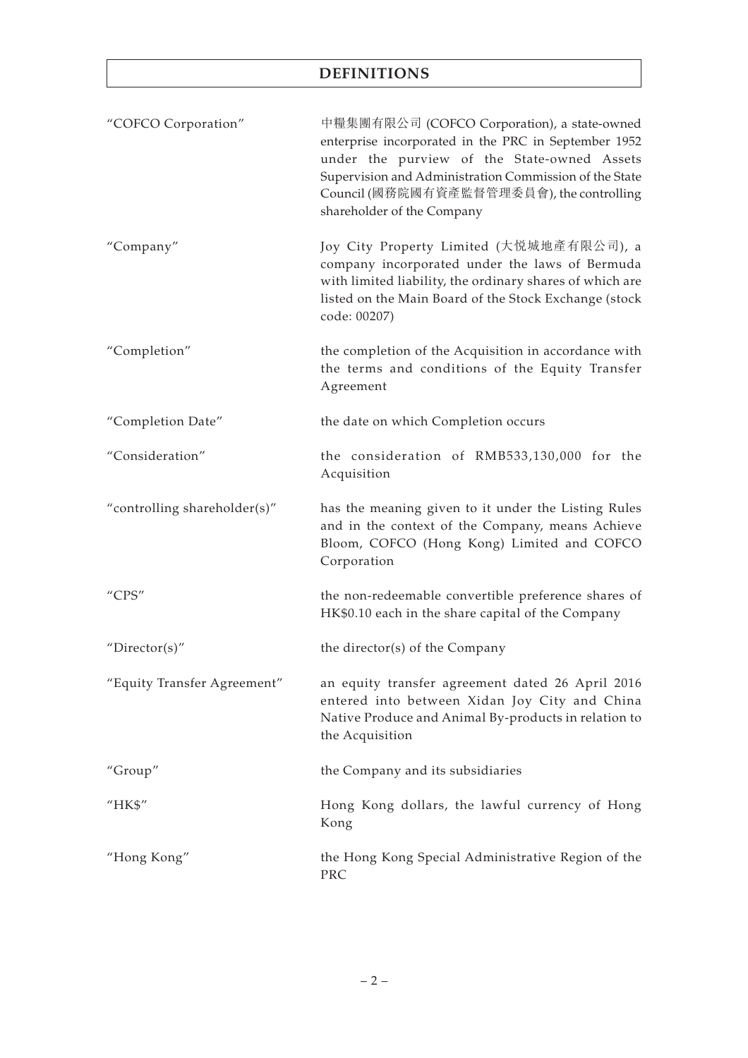| "COFCO Corporation"          | 中糧集團有限公司 (COFCO Corporation), a state-owned<br>enterprise incorporated in the PRC in September 1952<br>under the purview of the State-owned Assets<br>Supervision and Administration Commission of the State<br>Council (國務院國有資產監督管理委員會), the controlling<br>shareholder of the Company |
|------------------------------|-----------------------------------------------------------------------------------------------------------------------------------------------------------------------------------------------------------------------------------------------------------------------------------------|
| "Company"                    | Joy City Property Limited (大悦城地產有限公司), a<br>company incorporated under the laws of Bermuda<br>with limited liability, the ordinary shares of which are<br>listed on the Main Board of the Stock Exchange (stock<br>code: 00207)                                                         |
| "Completion"                 | the completion of the Acquisition in accordance with<br>the terms and conditions of the Equity Transfer<br>Agreement                                                                                                                                                                    |
| "Completion Date"            | the date on which Completion occurs                                                                                                                                                                                                                                                     |
| "Consideration"              | the consideration of RMB533,130,000 for the<br>Acquisition                                                                                                                                                                                                                              |
| "controlling shareholder(s)" | has the meaning given to it under the Listing Rules<br>and in the context of the Company, means Achieve<br>Bloom, COFCO (Hong Kong) Limited and COFCO<br>Corporation                                                                                                                    |
| "CPS"                        | the non-redeemable convertible preference shares of<br>HK\$0.10 each in the share capital of the Company                                                                                                                                                                                |
| "Director(s)"                | the director(s) of the Company                                                                                                                                                                                                                                                          |
| "Equity Transfer Agreement"  | an equity transfer agreement dated 26 April 2016<br>entered into between Xidan Joy City and China<br>Native Produce and Animal By-products in relation to<br>the Acquisition                                                                                                            |
| "Group"                      | the Company and its subsidiaries                                                                                                                                                                                                                                                        |
| "HK\$"                       | Hong Kong dollars, the lawful currency of Hong<br>Kong                                                                                                                                                                                                                                  |
| "Hong Kong"                  | the Hong Kong Special Administrative Region of the<br>PRC                                                                                                                                                                                                                               |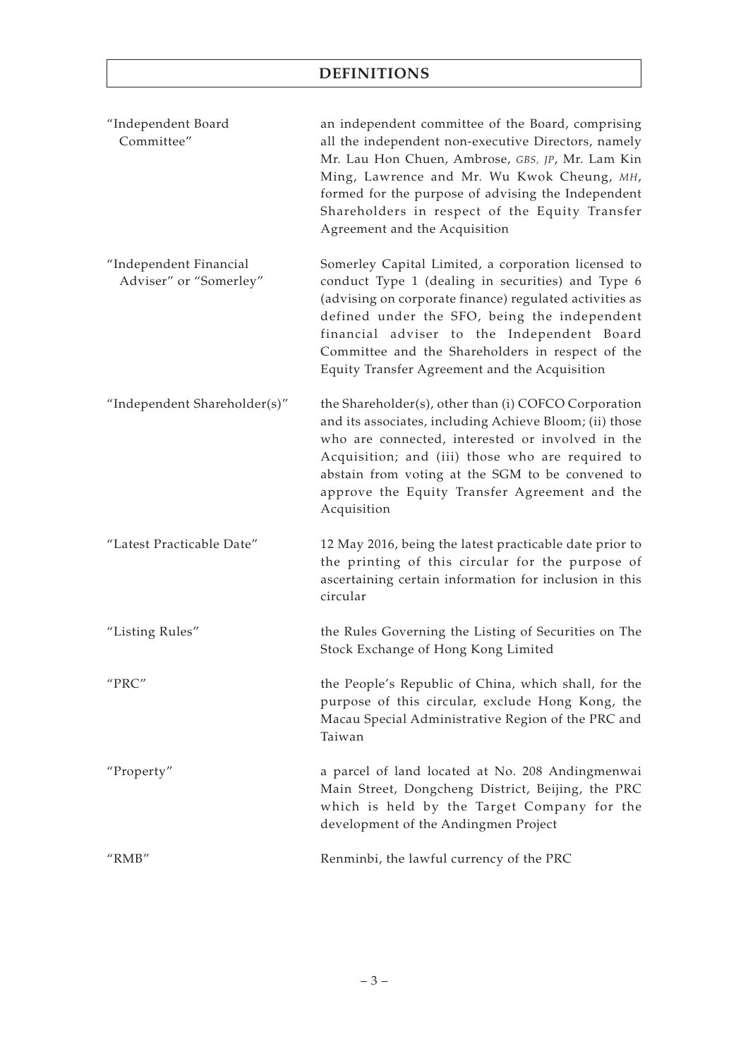| "Independent Board<br>Committee"                 | an independent committee of the Board, comprising<br>all the independent non-executive Directors, namely<br>Mr. Lau Hon Chuen, Ambrose, GBS, JP, Mr. Lam Kin<br>Ming, Lawrence and Mr. Wu Kwok Cheung, MH,<br>formed for the purpose of advising the Independent<br>Shareholders in respect of the Equity Transfer<br>Agreement and the Acquisition                    |
|--------------------------------------------------|------------------------------------------------------------------------------------------------------------------------------------------------------------------------------------------------------------------------------------------------------------------------------------------------------------------------------------------------------------------------|
| "Independent Financial<br>Adviser" or "Somerley" | Somerley Capital Limited, a corporation licensed to<br>conduct Type 1 (dealing in securities) and Type 6<br>(advising on corporate finance) regulated activities as<br>defined under the SFO, being the independent<br>financial adviser to the Independent Board<br>Committee and the Shareholders in respect of the<br>Equity Transfer Agreement and the Acquisition |
| "Independent Shareholder(s)"                     | the Shareholder(s), other than (i) COFCO Corporation<br>and its associates, including Achieve Bloom; (ii) those<br>who are connected, interested or involved in the<br>Acquisition; and (iii) those who are required to<br>abstain from voting at the SGM to be convened to<br>approve the Equity Transfer Agreement and the<br>Acquisition                            |
| "Latest Practicable Date"                        | 12 May 2016, being the latest practicable date prior to<br>the printing of this circular for the purpose of<br>ascertaining certain information for inclusion in this<br>circular                                                                                                                                                                                      |
| "Listing Rules"                                  | the Rules Governing the Listing of Securities on The<br>Stock Exchange of Hong Kong Limited                                                                                                                                                                                                                                                                            |
| "PRC"                                            | the People's Republic of China, which shall, for the<br>purpose of this circular, exclude Hong Kong, the<br>Macau Special Administrative Region of the PRC and<br>Taiwan                                                                                                                                                                                               |
| "Property"                                       | a parcel of land located at No. 208 Andingmenwai<br>Main Street, Dongcheng District, Beijing, the PRC<br>which is held by the Target Company for the<br>development of the Andingmen Project                                                                                                                                                                           |
| " $RMB"$                                         | Renminbi, the lawful currency of the PRC                                                                                                                                                                                                                                                                                                                               |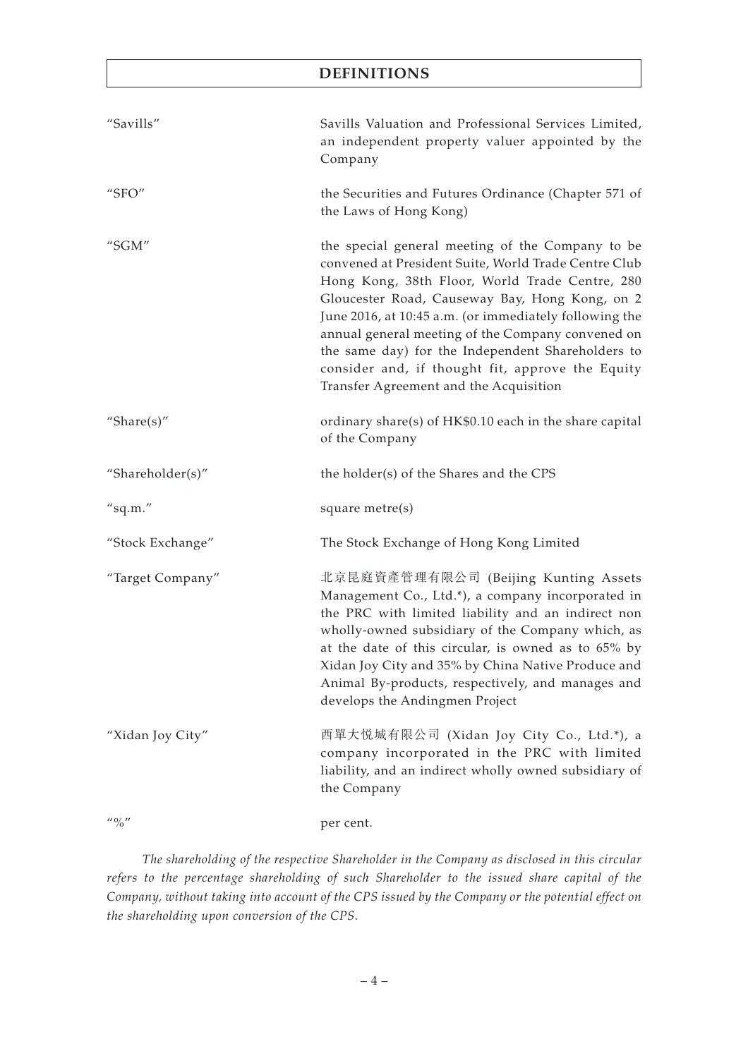| "Savills"                     | Savills Valuation and Professional Services Limited,<br>an independent property valuer appointed by the<br>Company                                                                                                                                                                                                                                                                                                                                                             |
|-------------------------------|--------------------------------------------------------------------------------------------------------------------------------------------------------------------------------------------------------------------------------------------------------------------------------------------------------------------------------------------------------------------------------------------------------------------------------------------------------------------------------|
| "SFO"                         | the Securities and Futures Ordinance (Chapter 571 of<br>the Laws of Hong Kong)                                                                                                                                                                                                                                                                                                                                                                                                 |
| "SGM"                         | the special general meeting of the Company to be<br>convened at President Suite, World Trade Centre Club<br>Hong Kong, 38th Floor, World Trade Centre, 280<br>Gloucester Road, Causeway Bay, Hong Kong, on 2<br>June 2016, at 10:45 a.m. (or immediately following the<br>annual general meeting of the Company convened on<br>the same day) for the Independent Shareholders to<br>consider and, if thought fit, approve the Equity<br>Transfer Agreement and the Acquisition |
| "Share $(s)$ "                | ordinary share(s) of HK\$0.10 each in the share capital<br>of the Company                                                                                                                                                                                                                                                                                                                                                                                                      |
| "Shareholder(s)"              | the holder(s) of the Shares and the CPS                                                                                                                                                                                                                                                                                                                                                                                                                                        |
| "sq.m."                       | square metre(s)                                                                                                                                                                                                                                                                                                                                                                                                                                                                |
| "Stock Exchange"              | The Stock Exchange of Hong Kong Limited                                                                                                                                                                                                                                                                                                                                                                                                                                        |
| "Target Company"              | 北京昆庭資產管理有限公司 (Beijing Kunting Assets<br>Management Co., Ltd.*), a company incorporated in<br>the PRC with limited liability and an indirect non<br>wholly-owned subsidiary of the Company which, as<br>at the date of this circular, is owned as to 65% by<br>Xidan Joy City and 35% by China Native Produce and<br>Animal By-products, respectively, and manages and<br>develops the Andingmen Project                                                                        |
| "Xidan Joy City"              | 西單大悦城有限公司 (Xidan Joy City Co., Ltd.*), a<br>company incorporated in the PRC with limited<br>liability, and an indirect wholly owned subsidiary of<br>the Company                                                                                                                                                                                                                                                                                                               |
| $\frac{1}{10}$ $\frac{1}{10}$ | per cent.                                                                                                                                                                                                                                                                                                                                                                                                                                                                      |

*The shareholding of the respective Shareholder in the Company as disclosed in this circular refers to the percentage shareholding of such Shareholder to the issued share capital of the Company, without taking into account of the CPS issued by the Company or the potential effect on the shareholding upon conversion of the CPS.*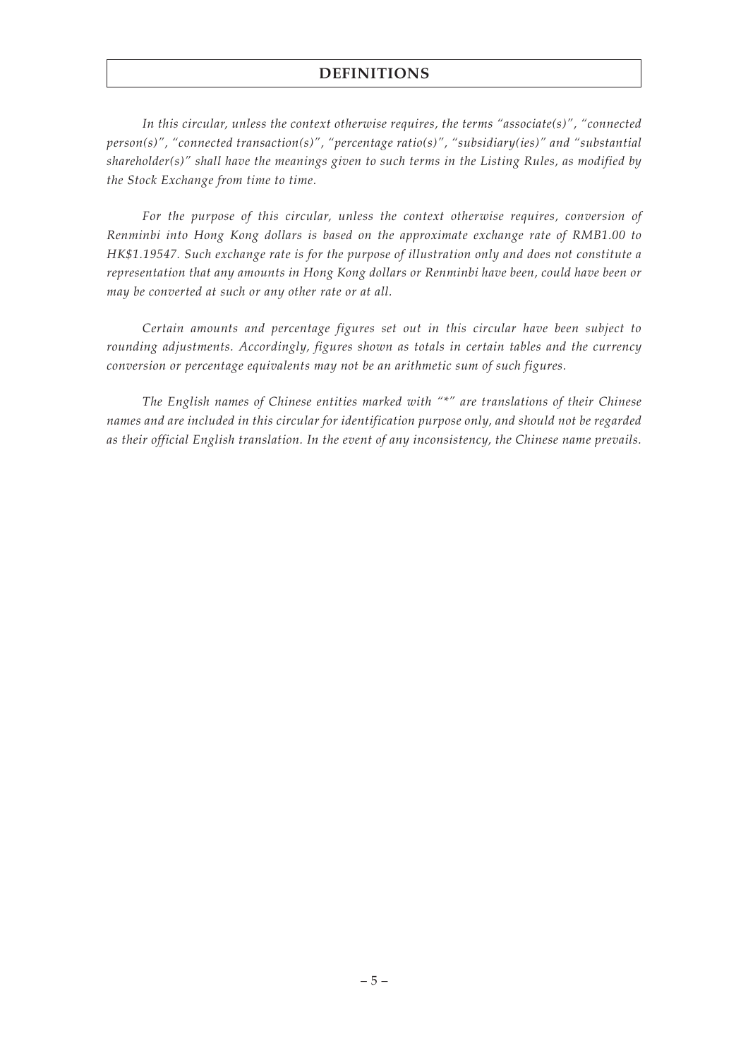*In this circular, unless the context otherwise requires, the terms "associate(s)", "connected person(s)", "connected transaction(s)", "percentage ratio(s)", "subsidiary(ies)" and "substantial shareholder(s)" shall have the meanings given to such terms in the Listing Rules, as modified by the Stock Exchange from time to time.*

*For the purpose of this circular, unless the context otherwise requires, conversion of Renminbi into Hong Kong dollars is based on the approximate exchange rate of RMB1.00 to HK\$1.19547. Such exchange rate is for the purpose of illustration only and does not constitute a representation that any amounts in Hong Kong dollars or Renminbi have been, could have been or may be converted at such or any other rate or at all.*

*Certain amounts and percentage figures set out in this circular have been subject to rounding adjustments. Accordingly, figures shown as totals in certain tables and the currency conversion or percentage equivalents may not be an arithmetic sum of such figures.*

*The English names of Chinese entities marked with "\*" are translations of their Chinese names and are included in this circular for identification purpose only, and should not be regarded as their official English translation. In the event of any inconsistency, the Chinese name prevails.*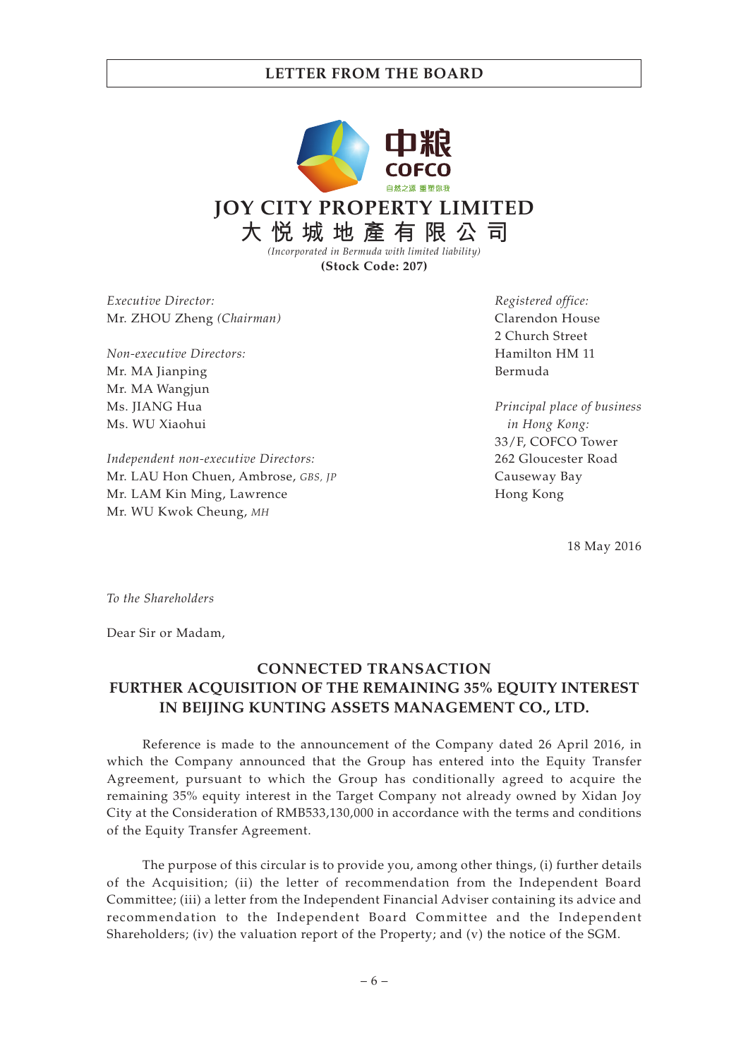

**(Stock Code: 207)**

*Executive Director:* Mr. ZHOU Zheng *(Chairman)*

*Non-executive Directors:* Mr. MA Jianping Mr. MA Wangjun Ms. JIANG Hua Ms. WU Xiaohui

*Independent non-executive Directors:* Mr. LAU Hon Chuen, Ambrose, *GBS, JP* Mr. LAM Kin Ming, Lawrence Mr. WU Kwok Cheung, *MH*

*Registered office:* Clarendon House 2 Church Street Hamilton HM 11 Bermuda

*Principal place of business in Hong Kong:* 33/F, COFCO Tower 262 Gloucester Road Causeway Bay Hong Kong

18 May 2016

*To the Shareholders*

Dear Sir or Madam,

# **CONNECTED TRANSACTION FURTHER ACQUISITION OF THE REMAINING 35% EQUITY INTEREST IN BEIJING KUNTING ASSETS MANAGEMENT CO., LTD.**

Reference is made to the announcement of the Company dated 26 April 2016, in which the Company announced that the Group has entered into the Equity Transfer Agreement, pursuant to which the Group has conditionally agreed to acquire the remaining 35% equity interest in the Target Company not already owned by Xidan Joy City at the Consideration of RMB533,130,000 in accordance with the terms and conditions of the Equity Transfer Agreement.

The purpose of this circular is to provide you, among other things, (i) further details of the Acquisition; (ii) the letter of recommendation from the Independent Board Committee; (iii) a letter from the Independent Financial Adviser containing its advice and recommendation to the Independent Board Committee and the Independent Shareholders; (iv) the valuation report of the Property; and (v) the notice of the SGM.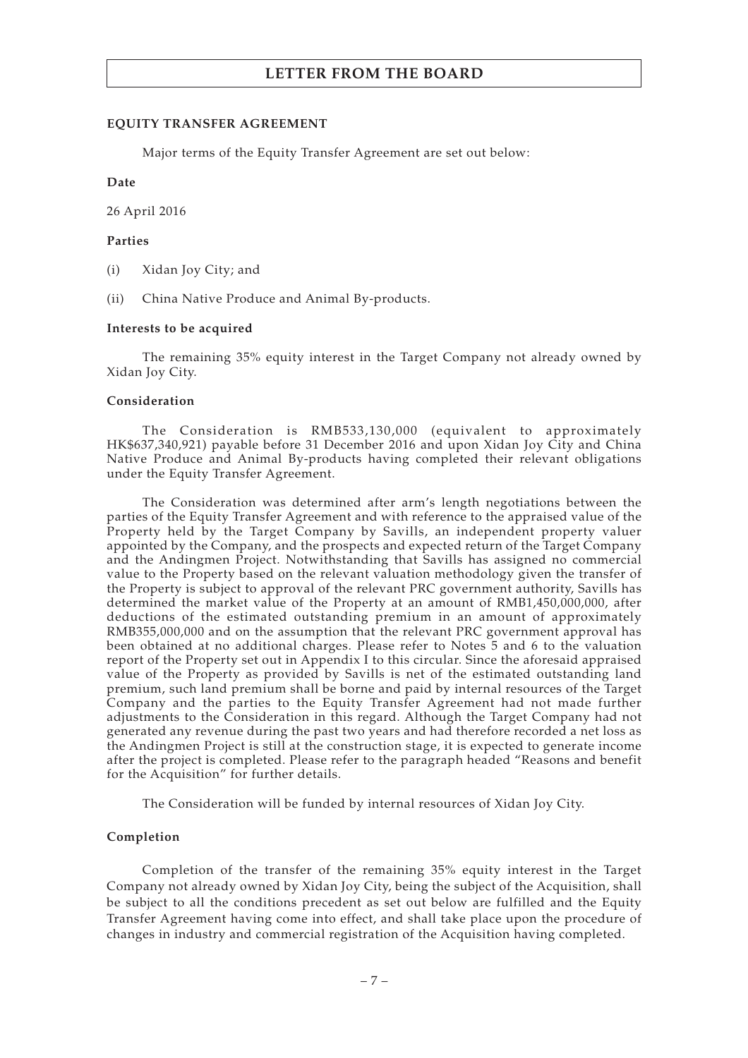#### **EQUITY TRANSFER AGREEMENT**

Major terms of the Equity Transfer Agreement are set out below:

#### **Date**

26 April 2016

### **Parties**

- (i) Xidan Joy City; and
- (ii) China Native Produce and Animal By-products.

### **Interests to be acquired**

The remaining 35% equity interest in the Target Company not already owned by Xidan Joy City.

### **Consideration**

The Consideration is RMB533,130,000 (equivalent to approximately HK\$637,340,921) payable before 31 December 2016 and upon Xidan Joy City and China Native Produce and Animal By-products having completed their relevant obligations under the Equity Transfer Agreement.

The Consideration was determined after arm's length negotiations between the parties of the Equity Transfer Agreement and with reference to the appraised value of the Property held by the Target Company by Savills, an independent property valuer appointed by the Company, and the prospects and expected return of the Target Company and the Andingmen Project. Notwithstanding that Savills has assigned no commercial value to the Property based on the relevant valuation methodology given the transfer of the Property is subject to approval of the relevant PRC government authority, Savills has determined the market value of the Property at an amount of RMB1,450,000,000, after deductions of the estimated outstanding premium in an amount of approximately RMB355,000,000 and on the assumption that the relevant PRC government approval has been obtained at no additional charges. Please refer to Notes 5 and 6 to the valuation report of the Property set out in Appendix I to this circular. Since the aforesaid appraised value of the Property as provided by Savills is net of the estimated outstanding land premium, such land premium shall be borne and paid by internal resources of the Target Company and the parties to the Equity Transfer Agreement had not made further adjustments to the Consideration in this regard. Although the Target Company had not generated any revenue during the past two years and had therefore recorded a net loss as the Andingmen Project is still at the construction stage, it is expected to generate income after the project is completed. Please refer to the paragraph headed "Reasons and benefit for the Acquisition" for further details.

The Consideration will be funded by internal resources of Xidan Joy City.

## **Completion**

Completion of the transfer of the remaining 35% equity interest in the Target Company not already owned by Xidan Joy City, being the subject of the Acquisition, shall be subject to all the conditions precedent as set out below are fulfilled and the Equity Transfer Agreement having come into effect, and shall take place upon the procedure of changes in industry and commercial registration of the Acquisition having completed.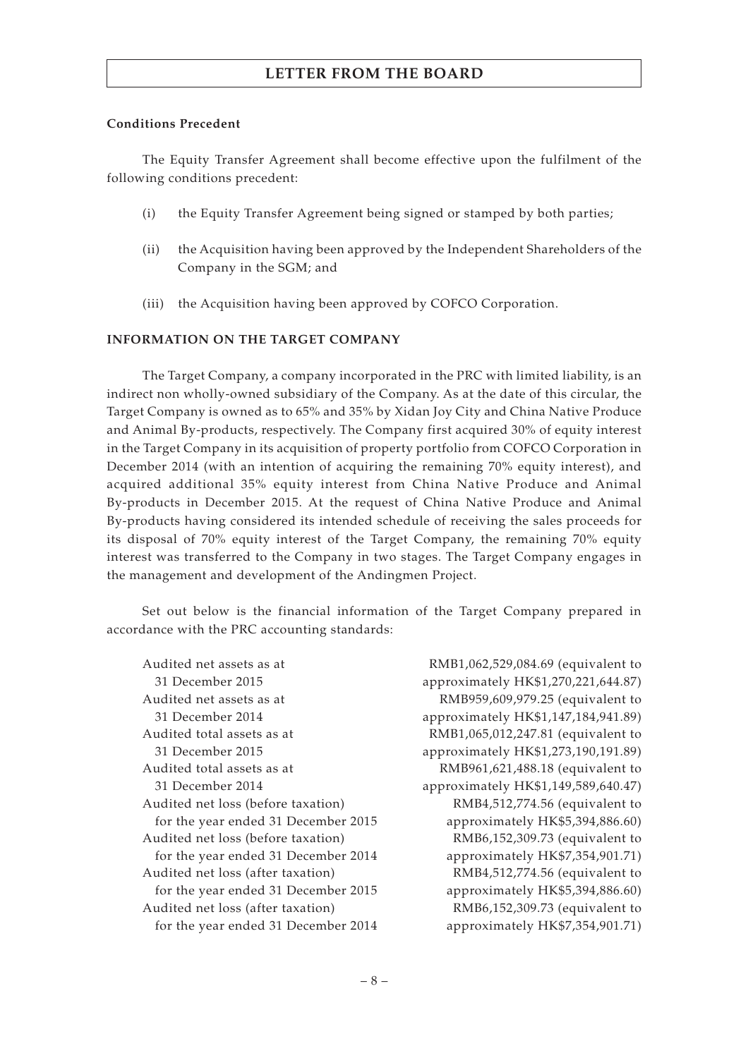## **Conditions Precedent**

The Equity Transfer Agreement shall become effective upon the fulfilment of the following conditions precedent:

- (i) the Equity Transfer Agreement being signed or stamped by both parties;
- (ii) the Acquisition having been approved by the Independent Shareholders of the Company in the SGM; and
- (iii) the Acquisition having been approved by COFCO Corporation.

## **INFORMATION ON THE TARGET COMPANY**

The Target Company, a company incorporated in the PRC with limited liability, is an indirect non wholly-owned subsidiary of the Company. As at the date of this circular, the Target Company is owned as to 65% and 35% by Xidan Joy City and China Native Produce and Animal By-products, respectively. The Company first acquired 30% of equity interest in the Target Company in its acquisition of property portfolio from COFCO Corporation in December 2014 (with an intention of acquiring the remaining 70% equity interest), and acquired additional 35% equity interest from China Native Produce and Animal By-products in December 2015. At the request of China Native Produce and Animal By-products having considered its intended schedule of receiving the sales proceeds for its disposal of 70% equity interest of the Target Company, the remaining 70% equity interest was transferred to the Company in two stages. The Target Company engages in the management and development of the Andingmen Project.

Set out below is the financial information of the Target Company prepared in accordance with the PRC accounting standards:

Audited net assets as at 31 December 2015 Audited net assets as at 31 December 2014 Audited total assets as at 31 December 2015 Audited total assets as at 31 December 2014 Audited net loss (before taxation) for the year ended 31 December 2015 Audited net loss (before taxation) for the year ended 31 December 2014 Audited net loss (after taxation) for the year ended 31 December 2015 Audited net loss (after taxation) for the year ended 31 December 2014

RMB1,062,529,084.69 (equivalent to approximately HK\$1,270,221,644.87) RMB959,609,979.25 (equivalent to approximately HK\$1,147,184,941.89) RMB1,065,012,247.81 (equivalent to approximately HK\$1,273,190,191.89) RMB961,621,488.18 (equivalent to approximately HK\$1,149,589,640.47) RMB4,512,774.56 (equivalent to approximately HK\$5,394,886.60) RMB6,152,309.73 (equivalent to approximately HK\$7,354,901.71) RMB4,512,774.56 (equivalent to approximately HK\$5,394,886.60) RMB6,152,309.73 (equivalent to approximately HK\$7,354,901.71)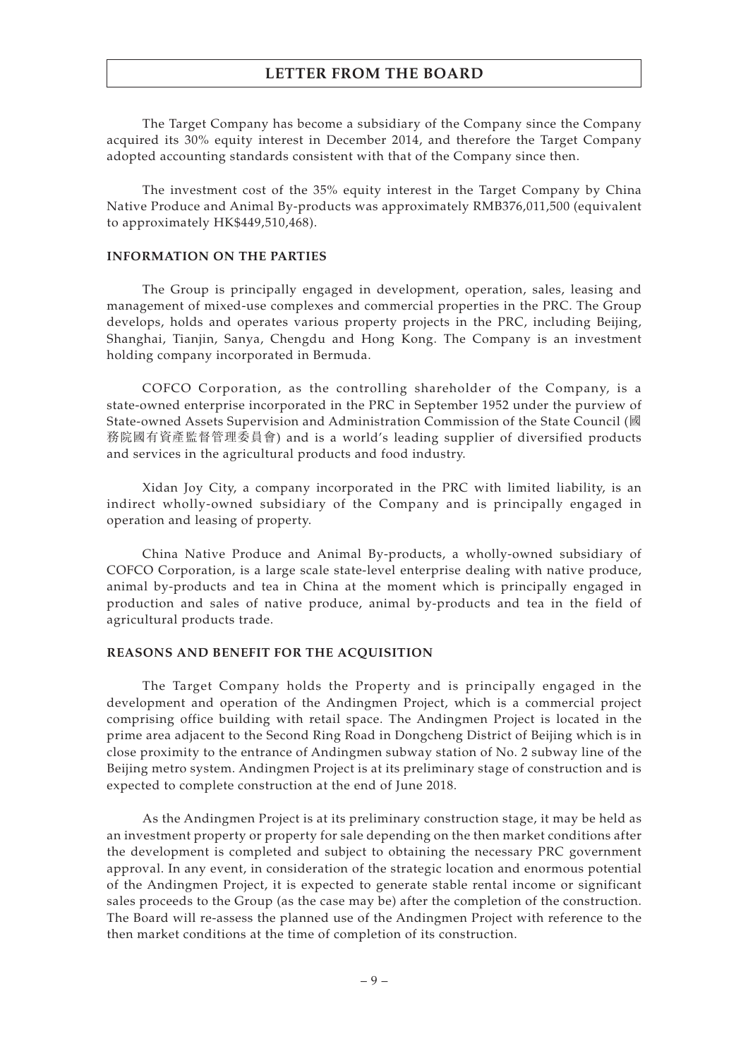The Target Company has become a subsidiary of the Company since the Company acquired its 30% equity interest in December 2014, and therefore the Target Company adopted accounting standards consistent with that of the Company since then.

The investment cost of the 35% equity interest in the Target Company by China Native Produce and Animal By-products was approximately RMB376,011,500 (equivalent to approximately HK\$449,510,468).

#### **INFORMATION ON THE PARTIES**

The Group is principally engaged in development, operation, sales, leasing and management of mixed-use complexes and commercial properties in the PRC. The Group develops, holds and operates various property projects in the PRC, including Beijing, Shanghai, Tianjin, Sanya, Chengdu and Hong Kong. The Company is an investment holding company incorporated in Bermuda.

COFCO Corporation, as the controlling shareholder of the Company, is a state-owned enterprise incorporated in the PRC in September 1952 under the purview of State-owned Assets Supervision and Administration Commission of the State Council (國 務院國有資產監督管理委員會) and is a world's leading supplier of diversified products and services in the agricultural products and food industry.

Xidan Joy City, a company incorporated in the PRC with limited liability, is an indirect wholly-owned subsidiary of the Company and is principally engaged in operation and leasing of property.

China Native Produce and Animal By-products, a wholly-owned subsidiary of COFCO Corporation, is a large scale state-level enterprise dealing with native produce, animal by-products and tea in China at the moment which is principally engaged in production and sales of native produce, animal by-products and tea in the field of agricultural products trade.

### **REASONS AND BENEFIT FOR THE ACQUISITION**

The Target Company holds the Property and is principally engaged in the development and operation of the Andingmen Project, which is a commercial project comprising office building with retail space. The Andingmen Project is located in the prime area adjacent to the Second Ring Road in Dongcheng District of Beijing which is in close proximity to the entrance of Andingmen subway station of No. 2 subway line of the Beijing metro system. Andingmen Project is at its preliminary stage of construction and is expected to complete construction at the end of June 2018.

As the Andingmen Project is at its preliminary construction stage, it may be held as an investment property or property for sale depending on the then market conditions after the development is completed and subject to obtaining the necessary PRC government approval. In any event, in consideration of the strategic location and enormous potential of the Andingmen Project, it is expected to generate stable rental income or significant sales proceeds to the Group (as the case may be) after the completion of the construction. The Board will re-assess the planned use of the Andingmen Project with reference to the then market conditions at the time of completion of its construction.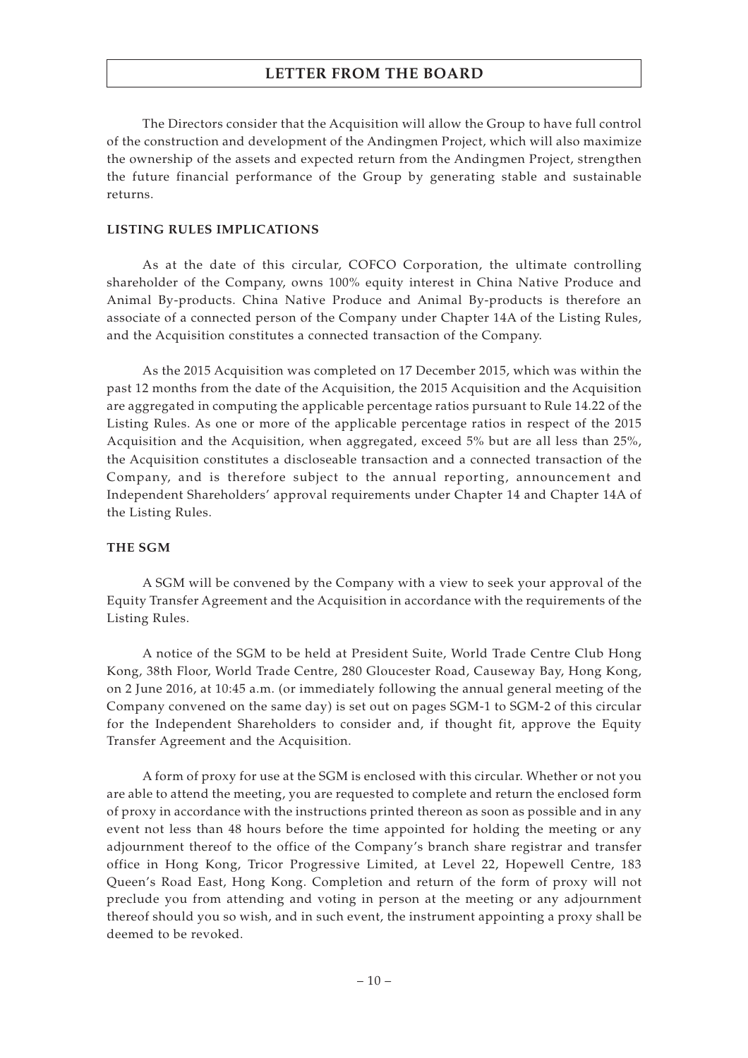The Directors consider that the Acquisition will allow the Group to have full control of the construction and development of the Andingmen Project, which will also maximize the ownership of the assets and expected return from the Andingmen Project, strengthen the future financial performance of the Group by generating stable and sustainable returns.

## **LISTING RULES IMPLICATIONS**

As at the date of this circular, COFCO Corporation, the ultimate controlling shareholder of the Company, owns 100% equity interest in China Native Produce and Animal By-products. China Native Produce and Animal By-products is therefore an associate of a connected person of the Company under Chapter 14A of the Listing Rules, and the Acquisition constitutes a connected transaction of the Company.

As the 2015 Acquisition was completed on 17 December 2015, which was within the past 12 months from the date of the Acquisition, the 2015 Acquisition and the Acquisition are aggregated in computing the applicable percentage ratios pursuant to Rule 14.22 of the Listing Rules. As one or more of the applicable percentage ratios in respect of the 2015 Acquisition and the Acquisition, when aggregated, exceed 5% but are all less than 25%, the Acquisition constitutes a discloseable transaction and a connected transaction of the Company, and is therefore subject to the annual reporting, announcement and Independent Shareholders' approval requirements under Chapter 14 and Chapter 14A of the Listing Rules.

## **THE SGM**

A SGM will be convened by the Company with a view to seek your approval of the Equity Transfer Agreement and the Acquisition in accordance with the requirements of the Listing Rules.

A notice of the SGM to be held at President Suite, World Trade Centre Club Hong Kong, 38th Floor, World Trade Centre, 280 Gloucester Road, Causeway Bay, Hong Kong, on 2 June 2016, at 10:45 a.m. (or immediately following the annual general meeting of the Company convened on the same day) is set out on pages SGM-1 to SGM-2 of this circular for the Independent Shareholders to consider and, if thought fit, approve the Equity Transfer Agreement and the Acquisition.

A form of proxy for use at the SGM is enclosed with this circular. Whether or not you are able to attend the meeting, you are requested to complete and return the enclosed form of proxy in accordance with the instructions printed thereon as soon as possible and in any event not less than 48 hours before the time appointed for holding the meeting or any adjournment thereof to the office of the Company's branch share registrar and transfer office in Hong Kong, Tricor Progressive Limited, at Level 22, Hopewell Centre, 183 Queen's Road East, Hong Kong. Completion and return of the form of proxy will not preclude you from attending and voting in person at the meeting or any adjournment thereof should you so wish, and in such event, the instrument appointing a proxy shall be deemed to be revoked.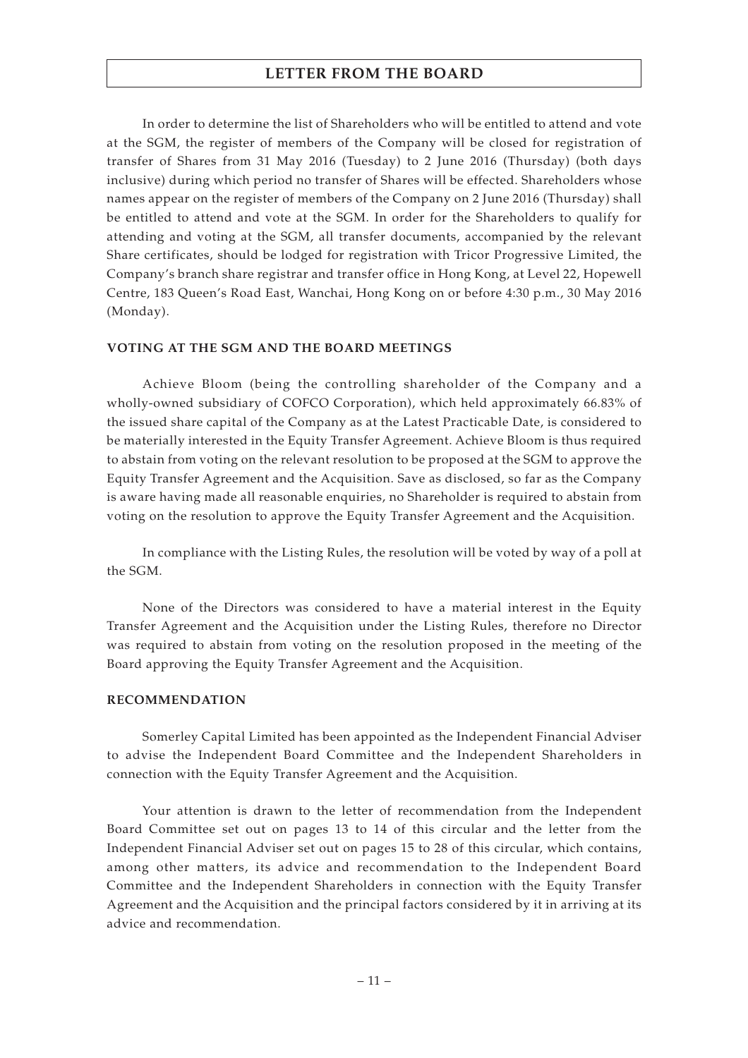In order to determine the list of Shareholders who will be entitled to attend and vote at the SGM, the register of members of the Company will be closed for registration of transfer of Shares from 31 May 2016 (Tuesday) to 2 June 2016 (Thursday) (both days inclusive) during which period no transfer of Shares will be effected. Shareholders whose names appear on the register of members of the Company on 2 June 2016 (Thursday) shall be entitled to attend and vote at the SGM. In order for the Shareholders to qualify for attending and voting at the SGM, all transfer documents, accompanied by the relevant Share certificates, should be lodged for registration with Tricor Progressive Limited, the Company's branch share registrar and transfer office in Hong Kong, at Level 22, Hopewell Centre, 183 Queen's Road East, Wanchai, Hong Kong on or before 4:30 p.m., 30 May 2016 (Monday).

### **VOTING AT THE SGM AND THE BOARD MEETINGS**

Achieve Bloom (being the controlling shareholder of the Company and a wholly-owned subsidiary of COFCO Corporation), which held approximately 66.83% of the issued share capital of the Company as at the Latest Practicable Date, is considered to be materially interested in the Equity Transfer Agreement. Achieve Bloom is thus required to abstain from voting on the relevant resolution to be proposed at the SGM to approve the Equity Transfer Agreement and the Acquisition. Save as disclosed, so far as the Company is aware having made all reasonable enquiries, no Shareholder is required to abstain from voting on the resolution to approve the Equity Transfer Agreement and the Acquisition.

In compliance with the Listing Rules, the resolution will be voted by way of a poll at the SGM.

None of the Directors was considered to have a material interest in the Equity Transfer Agreement and the Acquisition under the Listing Rules, therefore no Director was required to abstain from voting on the resolution proposed in the meeting of the Board approving the Equity Transfer Agreement and the Acquisition.

#### **RECOMMENDATION**

Somerley Capital Limited has been appointed as the Independent Financial Adviser to advise the Independent Board Committee and the Independent Shareholders in connection with the Equity Transfer Agreement and the Acquisition.

Your attention is drawn to the letter of recommendation from the Independent Board Committee set out on pages 13 to 14 of this circular and the letter from the Independent Financial Adviser set out on pages 15 to 28 of this circular, which contains, among other matters, its advice and recommendation to the Independent Board Committee and the Independent Shareholders in connection with the Equity Transfer Agreement and the Acquisition and the principal factors considered by it in arriving at its advice and recommendation.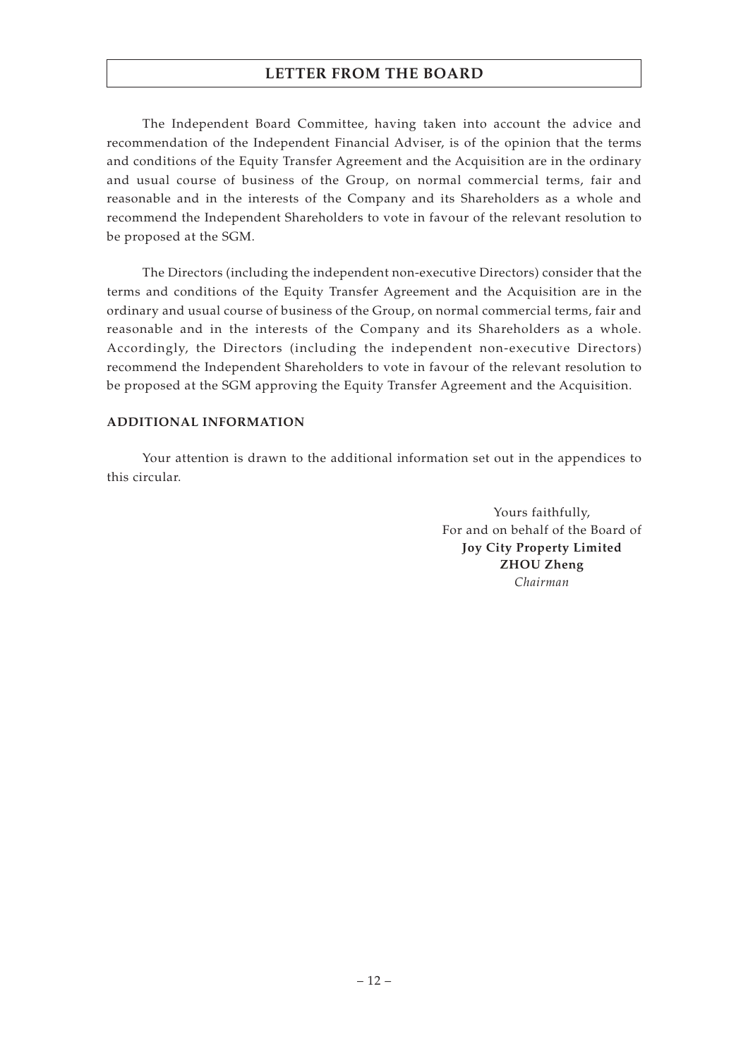The Independent Board Committee, having taken into account the advice and recommendation of the Independent Financial Adviser, is of the opinion that the terms and conditions of the Equity Transfer Agreement and the Acquisition are in the ordinary and usual course of business of the Group, on normal commercial terms, fair and reasonable and in the interests of the Company and its Shareholders as a whole and recommend the Independent Shareholders to vote in favour of the relevant resolution to be proposed at the SGM.

The Directors (including the independent non-executive Directors) consider that the terms and conditions of the Equity Transfer Agreement and the Acquisition are in the ordinary and usual course of business of the Group, on normal commercial terms, fair and reasonable and in the interests of the Company and its Shareholders as a whole. Accordingly, the Directors (including the independent non-executive Directors) recommend the Independent Shareholders to vote in favour of the relevant resolution to be proposed at the SGM approving the Equity Transfer Agreement and the Acquisition.

## **ADDITIONAL INFORMATION**

Your attention is drawn to the additional information set out in the appendices to this circular.

> Yours faithfully, For and on behalf of the Board of **Joy City Property Limited ZHOU Zheng** *Chairman*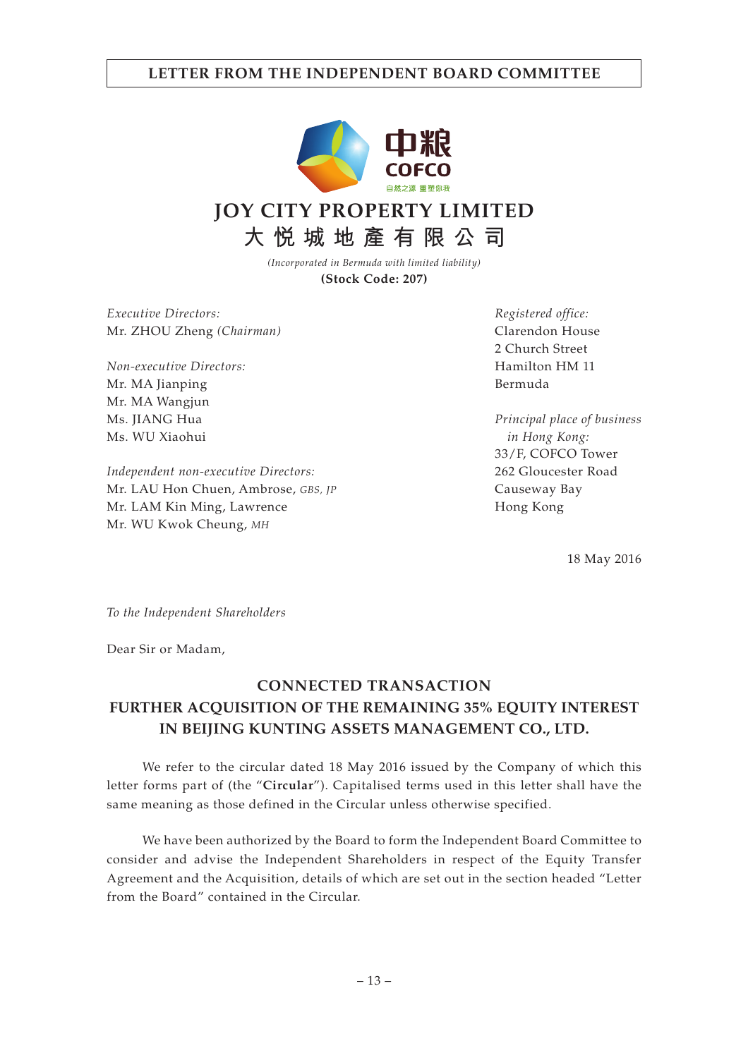# **LETTER FROM THE INDEPENDENT BOARD COMMITTEE**



**大悅城地產有限公司**

*(Incorporated in Bermuda with limited liability)* **(Stock Code: 207)**

*Executive Directors:* Mr. ZHOU Zheng *(Chairman)*

*Non-executive Directors:* Mr. MA Jianping Mr. MA Wangjun Ms. JIANG Hua Ms. WU Xiaohui

*Independent non-executive Directors:* Mr. LAU Hon Chuen, Ambrose, *GBS, JP* Mr. LAM Kin Ming, Lawrence Mr. WU Kwok Cheung, *MH*

*Registered office:* Clarendon House 2 Church Street Hamilton HM 11 Bermuda

*Principal place of business in Hong Kong:* 33/F, COFCO Tower 262 Gloucester Road Causeway Bay Hong Kong

18 May 2016

*To the Independent Shareholders*

Dear Sir or Madam,

# **CONNECTED TRANSACTION FURTHER ACQUISITION OF THE REMAINING 35% EQUITY INTEREST IN BEIJING KUNTING ASSETS MANAGEMENT CO., LTD.**

We refer to the circular dated 18 May 2016 issued by the Company of which this letter forms part of (the "**Circular**"). Capitalised terms used in this letter shall have the same meaning as those defined in the Circular unless otherwise specified.

We have been authorized by the Board to form the Independent Board Committee to consider and advise the Independent Shareholders in respect of the Equity Transfer Agreement and the Acquisition, details of which are set out in the section headed "Letter from the Board" contained in the Circular.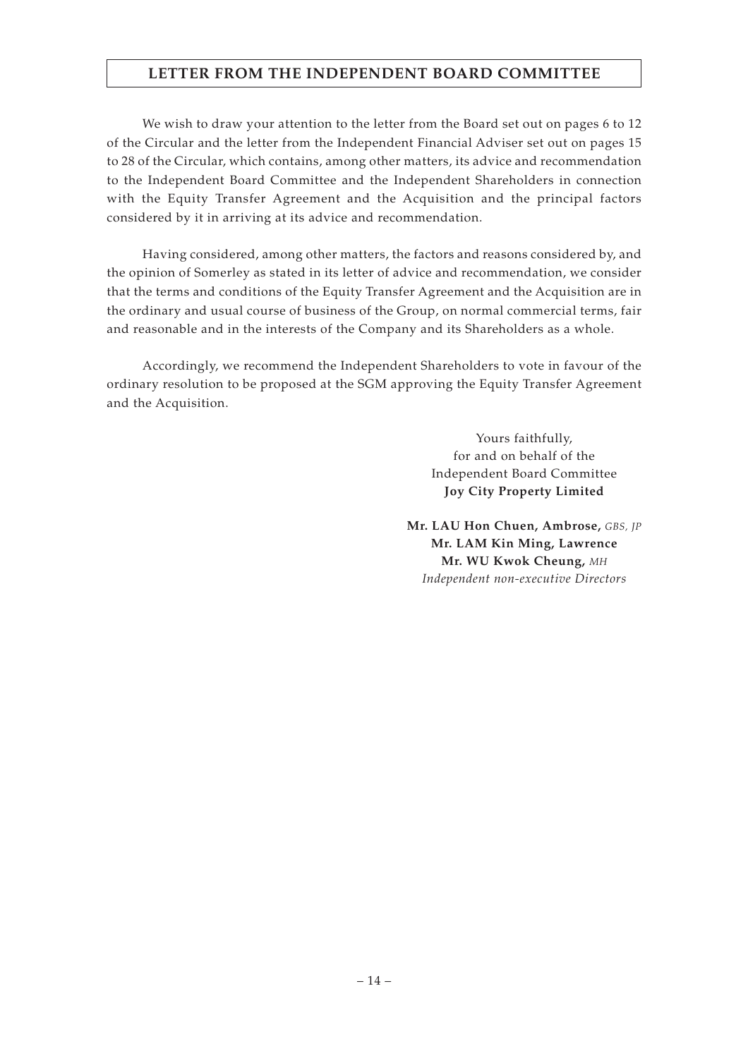# **LETTER FROM THE INDEPENDENT BOARD COMMITTEE**

We wish to draw your attention to the letter from the Board set out on pages 6 to 12 of the Circular and the letter from the Independent Financial Adviser set out on pages 15 to 28 of the Circular, which contains, among other matters, its advice and recommendation to the Independent Board Committee and the Independent Shareholders in connection with the Equity Transfer Agreement and the Acquisition and the principal factors considered by it in arriving at its advice and recommendation.

Having considered, among other matters, the factors and reasons considered by, and the opinion of Somerley as stated in its letter of advice and recommendation, we consider that the terms and conditions of the Equity Transfer Agreement and the Acquisition are in the ordinary and usual course of business of the Group, on normal commercial terms, fair and reasonable and in the interests of the Company and its Shareholders as a whole.

Accordingly, we recommend the Independent Shareholders to vote in favour of the ordinary resolution to be proposed at the SGM approving the Equity Transfer Agreement and the Acquisition.

> Yours faithfully, for and on behalf of the Independent Board Committee **Joy City Property Limited**

**Mr. LAU Hon Chuen, Ambrose,** *GBS, JP* **Mr. LAM Kin Ming, Lawrence Mr. WU Kwok Cheung,** *MH Independent non-executive Directors*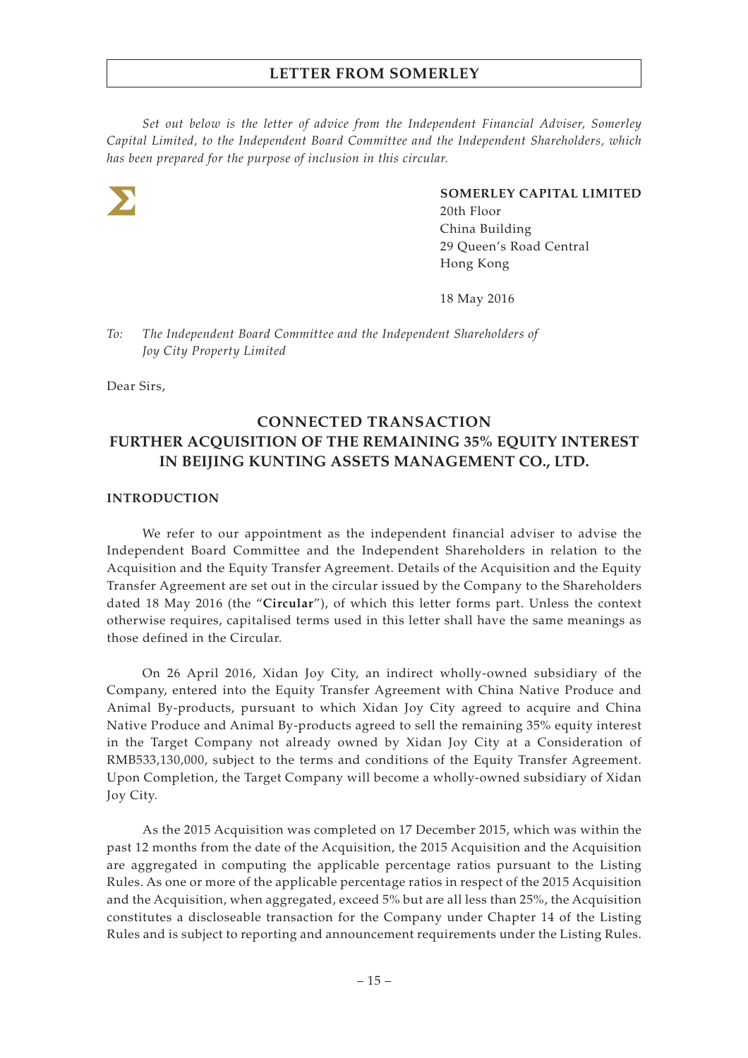*Set out below is the letter of advice from the Independent Financial Adviser, Somerley Capital Limited, to the Independent Board Committee and the Independent Shareholders, which has been prepared for the purpose of inclusion in this circular.*



**SOMERLEY CAPITAL LIMITED** 20th Floor China Building 29 Queen's Road Central Hong Kong

18 May 2016

*To: The Independent Board Committee and the Independent Shareholders of Joy City Property Limited*

Dear Sirs,

# **CONNECTED TRANSACTION FURTHER ACQUISITION OF THE REMAINING 35% EQUITY INTEREST IN BEIJING KUNTING ASSETS MANAGEMENT CO., LTD.**

## **INTRODUCTION**

We refer to our appointment as the independent financial adviser to advise the Independent Board Committee and the Independent Shareholders in relation to the Acquisition and the Equity Transfer Agreement. Details of the Acquisition and the Equity Transfer Agreement are set out in the circular issued by the Company to the Shareholders dated 18 May 2016 (the "**Circular**"), of which this letter forms part. Unless the context otherwise requires, capitalised terms used in this letter shall have the same meanings as those defined in the Circular.

On 26 April 2016, Xidan Joy City, an indirect wholly-owned subsidiary of the Company, entered into the Equity Transfer Agreement with China Native Produce and Animal By-products, pursuant to which Xidan Joy City agreed to acquire and China Native Produce and Animal By-products agreed to sell the remaining 35% equity interest in the Target Company not already owned by Xidan Joy City at a Consideration of RMB533,130,000, subject to the terms and conditions of the Equity Transfer Agreement. Upon Completion, the Target Company will become a wholly-owned subsidiary of Xidan Joy City.

As the 2015 Acquisition was completed on 17 December 2015, which was within the past 12 months from the date of the Acquisition, the 2015 Acquisition and the Acquisition are aggregated in computing the applicable percentage ratios pursuant to the Listing Rules. As one or more of the applicable percentage ratios in respect of the 2015 Acquisition and the Acquisition, when aggregated, exceed 5% but are all less than 25%, the Acquisition constitutes a discloseable transaction for the Company under Chapter 14 of the Listing Rules and is subject to reporting and announcement requirements under the Listing Rules.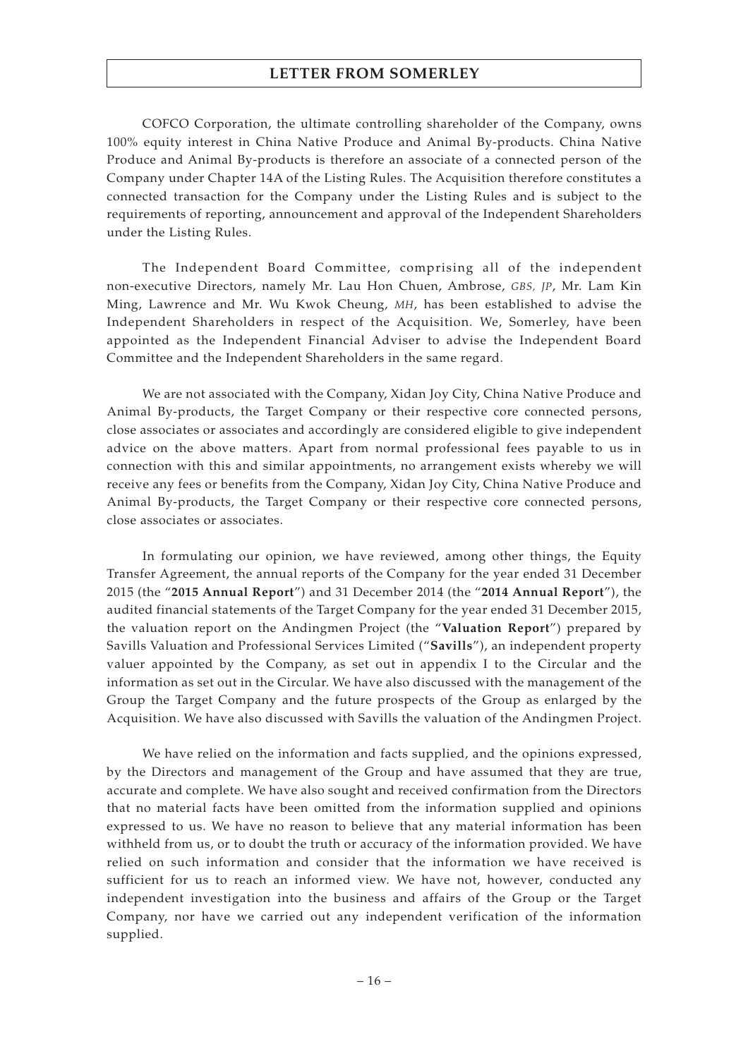COFCO Corporation, the ultimate controlling shareholder of the Company, owns 100% equity interest in China Native Produce and Animal By-products. China Native Produce and Animal By-products is therefore an associate of a connected person of the Company under Chapter 14A of the Listing Rules. The Acquisition therefore constitutes a connected transaction for the Company under the Listing Rules and is subject to the requirements of reporting, announcement and approval of the Independent Shareholders under the Listing Rules.

The Independent Board Committee, comprising all of the independent non-executive Directors, namely Mr. Lau Hon Chuen, Ambrose, *GBS, JP*, Mr. Lam Kin Ming, Lawrence and Mr. Wu Kwok Cheung, *MH*, has been established to advise the Independent Shareholders in respect of the Acquisition. We, Somerley, have been appointed as the Independent Financial Adviser to advise the Independent Board Committee and the Independent Shareholders in the same regard.

We are not associated with the Company, Xidan Joy City, China Native Produce and Animal By-products, the Target Company or their respective core connected persons, close associates or associates and accordingly are considered eligible to give independent advice on the above matters. Apart from normal professional fees payable to us in connection with this and similar appointments, no arrangement exists whereby we will receive any fees or benefits from the Company, Xidan Joy City, China Native Produce and Animal By-products, the Target Company or their respective core connected persons, close associates or associates.

In formulating our opinion, we have reviewed, among other things, the Equity Transfer Agreement, the annual reports of the Company for the year ended 31 December 2015 (the "**2015 Annual Report**") and 31 December 2014 (the "**2014 Annual Report**"), the audited financial statements of the Target Company for the year ended 31 December 2015, the valuation report on the Andingmen Project (the "**Valuation Report**") prepared by Savills Valuation and Professional Services Limited ("**Savills**"), an independent property valuer appointed by the Company, as set out in appendix I to the Circular and the information as set out in the Circular. We have also discussed with the management of the Group the Target Company and the future prospects of the Group as enlarged by the Acquisition. We have also discussed with Savills the valuation of the Andingmen Project.

We have relied on the information and facts supplied, and the opinions expressed, by the Directors and management of the Group and have assumed that they are true, accurate and complete. We have also sought and received confirmation from the Directors that no material facts have been omitted from the information supplied and opinions expressed to us. We have no reason to believe that any material information has been withheld from us, or to doubt the truth or accuracy of the information provided. We have relied on such information and consider that the information we have received is sufficient for us to reach an informed view. We have not, however, conducted any independent investigation into the business and affairs of the Group or the Target Company, nor have we carried out any independent verification of the information supplied.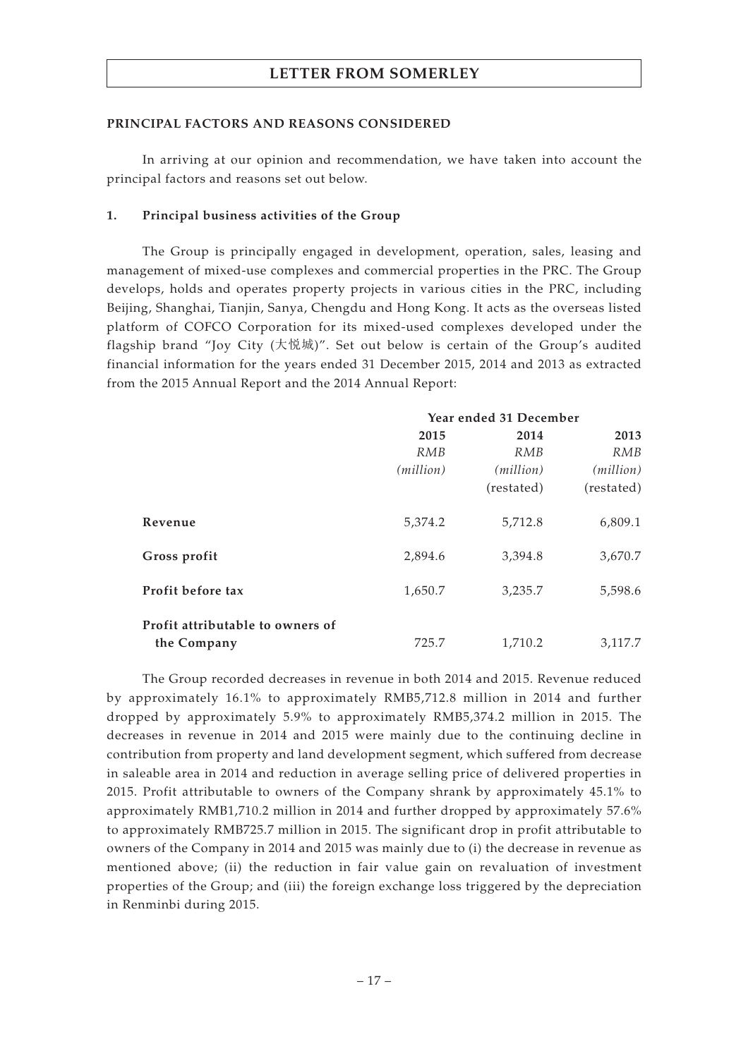### **PRINCIPAL FACTORS AND REASONS CONSIDERED**

In arriving at our opinion and recommendation, we have taken into account the principal factors and reasons set out below.

## **1. Principal business activities of the Group**

The Group is principally engaged in development, operation, sales, leasing and management of mixed-use complexes and commercial properties in the PRC. The Group develops, holds and operates property projects in various cities in the PRC, including Beijing, Shanghai, Tianjin, Sanya, Chengdu and Hong Kong. It acts as the overseas listed platform of COFCO Corporation for its mixed-used complexes developed under the flagship brand "Joy City (大悅城)". Set out below is certain of the Group's audited financial information for the years ended 31 December 2015, 2014 and 2013 as extracted from the 2015 Annual Report and the 2014 Annual Report:

|                                                 | Year ended 31 December |                    |                    |
|-------------------------------------------------|------------------------|--------------------|--------------------|
|                                                 | 2015                   | 2014               | 2013               |
|                                                 | RMB                    | <b>RMB</b>         | RMB                |
|                                                 | (million)              | ( <i>million</i> ) | ( <i>million</i> ) |
|                                                 |                        | (restated)         | (restated)         |
| Revenue                                         | 5,374.2                | 5,712.8            | 6,809.1            |
| Gross profit                                    | 2,894.6                | 3,394.8            | 3,670.7            |
| Profit before tax                               | 1,650.7                | 3,235.7            | 5,598.6            |
| Profit attributable to owners of<br>the Company | 725.7                  | 1,710.2            | 3,117.7            |

The Group recorded decreases in revenue in both 2014 and 2015. Revenue reduced by approximately 16.1% to approximately RMB5,712.8 million in 2014 and further dropped by approximately 5.9% to approximately RMB5,374.2 million in 2015. The decreases in revenue in 2014 and 2015 were mainly due to the continuing decline in contribution from property and land development segment, which suffered from decrease in saleable area in 2014 and reduction in average selling price of delivered properties in 2015. Profit attributable to owners of the Company shrank by approximately 45.1% to approximately RMB1,710.2 million in 2014 and further dropped by approximately 57.6% to approximately RMB725.7 million in 2015. The significant drop in profit attributable to owners of the Company in 2014 and 2015 was mainly due to (i) the decrease in revenue as mentioned above; (ii) the reduction in fair value gain on revaluation of investment properties of the Group; and (iii) the foreign exchange loss triggered by the depreciation in Renminbi during 2015.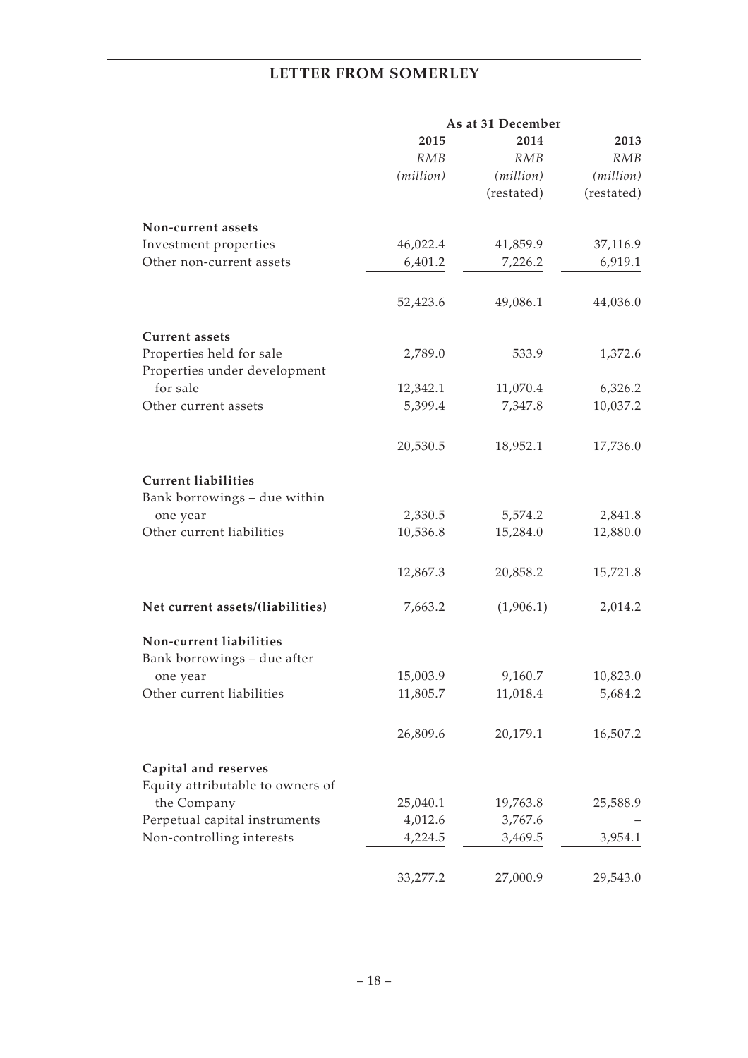| 2014<br>2015<br>RMB<br>RMB<br>(million)<br>(million)<br>(restated)<br>Non-current assets<br>46,022.4<br>41,859.9<br>Investment properties<br>6,401.2<br>Other non-current assets<br>7,226.2<br>52,423.6<br>49,086.1<br><b>Current assets</b><br>Properties held for sale<br>2,789.0<br>533.9<br>Properties under development<br>for sale<br>11,070.4<br>12,342.1<br>5,399.4<br>Other current assets<br>7,347.8<br>20,530.5<br>18,952.1<br><b>Current liabilities</b><br>Bank borrowings - due within<br>2,330.5<br>5,574.2<br>one year<br>Other current liabilities<br>10,536.8<br>15,284.0<br>12,867.3<br>20,858.2<br>Net current assets/(liabilities)<br>7,663.2<br>(1,906.1)<br>Non-current liabilities<br>Bank borrowings - due after<br>15,003.9<br>9,160.7<br>one year<br>Other current liabilities<br>11,805.7<br>11,018.4<br>26,809.6<br>20,179.1 |  | As at 31 December |            |
|-----------------------------------------------------------------------------------------------------------------------------------------------------------------------------------------------------------------------------------------------------------------------------------------------------------------------------------------------------------------------------------------------------------------------------------------------------------------------------------------------------------------------------------------------------------------------------------------------------------------------------------------------------------------------------------------------------------------------------------------------------------------------------------------------------------------------------------------------------------|--|-------------------|------------|
|                                                                                                                                                                                                                                                                                                                                                                                                                                                                                                                                                                                                                                                                                                                                                                                                                                                           |  |                   | 2013       |
|                                                                                                                                                                                                                                                                                                                                                                                                                                                                                                                                                                                                                                                                                                                                                                                                                                                           |  |                   | RMB        |
|                                                                                                                                                                                                                                                                                                                                                                                                                                                                                                                                                                                                                                                                                                                                                                                                                                                           |  |                   | (million)  |
|                                                                                                                                                                                                                                                                                                                                                                                                                                                                                                                                                                                                                                                                                                                                                                                                                                                           |  |                   | (restated) |
|                                                                                                                                                                                                                                                                                                                                                                                                                                                                                                                                                                                                                                                                                                                                                                                                                                                           |  |                   |            |
|                                                                                                                                                                                                                                                                                                                                                                                                                                                                                                                                                                                                                                                                                                                                                                                                                                                           |  |                   | 37,116.9   |
|                                                                                                                                                                                                                                                                                                                                                                                                                                                                                                                                                                                                                                                                                                                                                                                                                                                           |  |                   | 6,919.1    |
|                                                                                                                                                                                                                                                                                                                                                                                                                                                                                                                                                                                                                                                                                                                                                                                                                                                           |  |                   |            |
|                                                                                                                                                                                                                                                                                                                                                                                                                                                                                                                                                                                                                                                                                                                                                                                                                                                           |  |                   | 44,036.0   |
|                                                                                                                                                                                                                                                                                                                                                                                                                                                                                                                                                                                                                                                                                                                                                                                                                                                           |  |                   |            |
|                                                                                                                                                                                                                                                                                                                                                                                                                                                                                                                                                                                                                                                                                                                                                                                                                                                           |  |                   | 1,372.6    |
|                                                                                                                                                                                                                                                                                                                                                                                                                                                                                                                                                                                                                                                                                                                                                                                                                                                           |  |                   |            |
|                                                                                                                                                                                                                                                                                                                                                                                                                                                                                                                                                                                                                                                                                                                                                                                                                                                           |  |                   | 6,326.2    |
|                                                                                                                                                                                                                                                                                                                                                                                                                                                                                                                                                                                                                                                                                                                                                                                                                                                           |  |                   | 10,037.2   |
|                                                                                                                                                                                                                                                                                                                                                                                                                                                                                                                                                                                                                                                                                                                                                                                                                                                           |  |                   | 17,736.0   |
|                                                                                                                                                                                                                                                                                                                                                                                                                                                                                                                                                                                                                                                                                                                                                                                                                                                           |  |                   |            |
|                                                                                                                                                                                                                                                                                                                                                                                                                                                                                                                                                                                                                                                                                                                                                                                                                                                           |  |                   |            |
|                                                                                                                                                                                                                                                                                                                                                                                                                                                                                                                                                                                                                                                                                                                                                                                                                                                           |  |                   | 2,841.8    |
|                                                                                                                                                                                                                                                                                                                                                                                                                                                                                                                                                                                                                                                                                                                                                                                                                                                           |  |                   | 12,880.0   |
|                                                                                                                                                                                                                                                                                                                                                                                                                                                                                                                                                                                                                                                                                                                                                                                                                                                           |  |                   |            |
|                                                                                                                                                                                                                                                                                                                                                                                                                                                                                                                                                                                                                                                                                                                                                                                                                                                           |  |                   | 15,721.8   |
|                                                                                                                                                                                                                                                                                                                                                                                                                                                                                                                                                                                                                                                                                                                                                                                                                                                           |  |                   | 2,014.2    |
|                                                                                                                                                                                                                                                                                                                                                                                                                                                                                                                                                                                                                                                                                                                                                                                                                                                           |  |                   |            |
|                                                                                                                                                                                                                                                                                                                                                                                                                                                                                                                                                                                                                                                                                                                                                                                                                                                           |  |                   |            |
|                                                                                                                                                                                                                                                                                                                                                                                                                                                                                                                                                                                                                                                                                                                                                                                                                                                           |  |                   | 10,823.0   |
|                                                                                                                                                                                                                                                                                                                                                                                                                                                                                                                                                                                                                                                                                                                                                                                                                                                           |  |                   | 5,684.2    |
|                                                                                                                                                                                                                                                                                                                                                                                                                                                                                                                                                                                                                                                                                                                                                                                                                                                           |  |                   | 16,507.2   |
|                                                                                                                                                                                                                                                                                                                                                                                                                                                                                                                                                                                                                                                                                                                                                                                                                                                           |  |                   |            |
| Capital and reserves                                                                                                                                                                                                                                                                                                                                                                                                                                                                                                                                                                                                                                                                                                                                                                                                                                      |  |                   |            |
| Equity attributable to owners of                                                                                                                                                                                                                                                                                                                                                                                                                                                                                                                                                                                                                                                                                                                                                                                                                          |  |                   |            |
| the Company<br>25,040.1<br>19,763.8                                                                                                                                                                                                                                                                                                                                                                                                                                                                                                                                                                                                                                                                                                                                                                                                                       |  |                   | 25,588.9   |
| Perpetual capital instruments<br>4,012.6<br>3,767.6                                                                                                                                                                                                                                                                                                                                                                                                                                                                                                                                                                                                                                                                                                                                                                                                       |  |                   |            |
| Non-controlling interests<br>4,224.5<br>3,469.5                                                                                                                                                                                                                                                                                                                                                                                                                                                                                                                                                                                                                                                                                                                                                                                                           |  |                   | 3,954.1    |
| 33,277.2<br>27,000.9                                                                                                                                                                                                                                                                                                                                                                                                                                                                                                                                                                                                                                                                                                                                                                                                                                      |  |                   | 29,543.0   |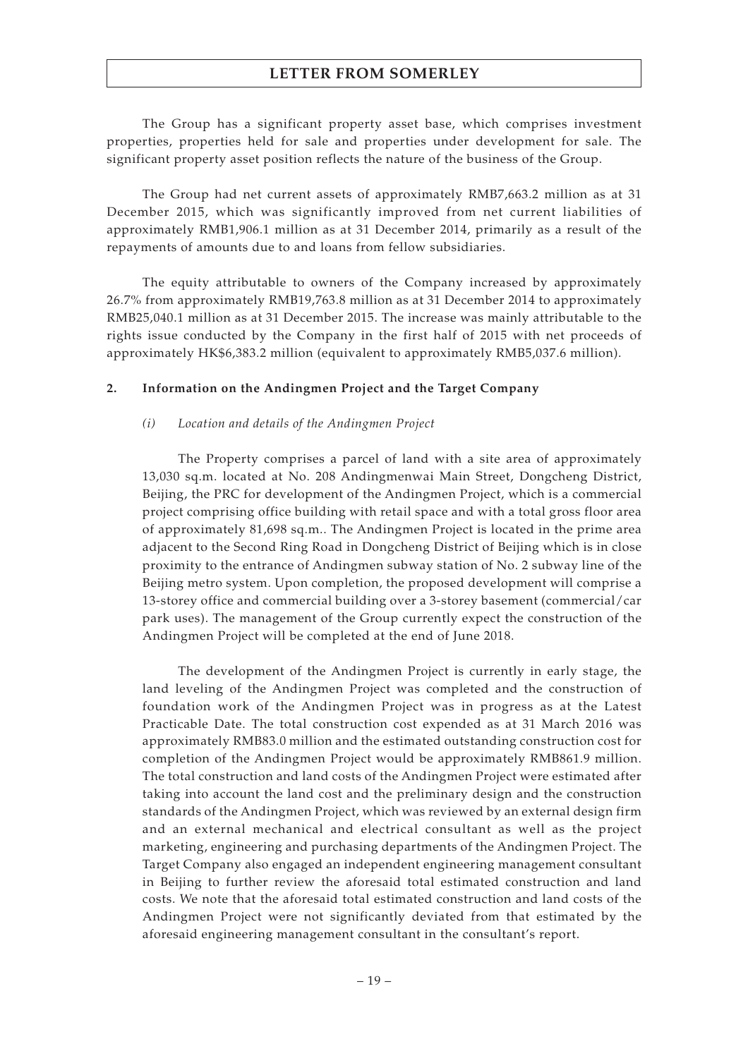The Group has a significant property asset base, which comprises investment properties, properties held for sale and properties under development for sale. The significant property asset position reflects the nature of the business of the Group.

The Group had net current assets of approximately RMB7,663.2 million as at 31 December 2015, which was significantly improved from net current liabilities of approximately RMB1,906.1 million as at 31 December 2014, primarily as a result of the repayments of amounts due to and loans from fellow subsidiaries.

The equity attributable to owners of the Company increased by approximately 26.7% from approximately RMB19,763.8 million as at 31 December 2014 to approximately RMB25,040.1 million as at 31 December 2015. The increase was mainly attributable to the rights issue conducted by the Company in the first half of 2015 with net proceeds of approximately HK\$6,383.2 million (equivalent to approximately RMB5,037.6 million).

## **2. Information on the Andingmen Project and the Target Company**

## *(i) Location and details of the Andingmen Project*

The Property comprises a parcel of land with a site area of approximately 13,030 sq.m. located at No. 208 Andingmenwai Main Street, Dongcheng District, Beijing, the PRC for development of the Andingmen Project, which is a commercial project comprising office building with retail space and with a total gross floor area of approximately 81,698 sq.m.. The Andingmen Project is located in the prime area adjacent to the Second Ring Road in Dongcheng District of Beijing which is in close proximity to the entrance of Andingmen subway station of No. 2 subway line of the Beijing metro system. Upon completion, the proposed development will comprise a 13-storey office and commercial building over a 3-storey basement (commercial/car park uses). The management of the Group currently expect the construction of the Andingmen Project will be completed at the end of June 2018.

The development of the Andingmen Project is currently in early stage, the land leveling of the Andingmen Project was completed and the construction of foundation work of the Andingmen Project was in progress as at the Latest Practicable Date. The total construction cost expended as at 31 March 2016 was approximately RMB83.0 million and the estimated outstanding construction cost for completion of the Andingmen Project would be approximately RMB861.9 million. The total construction and land costs of the Andingmen Project were estimated after taking into account the land cost and the preliminary design and the construction standards of the Andingmen Project, which was reviewed by an external design firm and an external mechanical and electrical consultant as well as the project marketing, engineering and purchasing departments of the Andingmen Project. The Target Company also engaged an independent engineering management consultant in Beijing to further review the aforesaid total estimated construction and land costs. We note that the aforesaid total estimated construction and land costs of the Andingmen Project were not significantly deviated from that estimated by the aforesaid engineering management consultant in the consultant's report.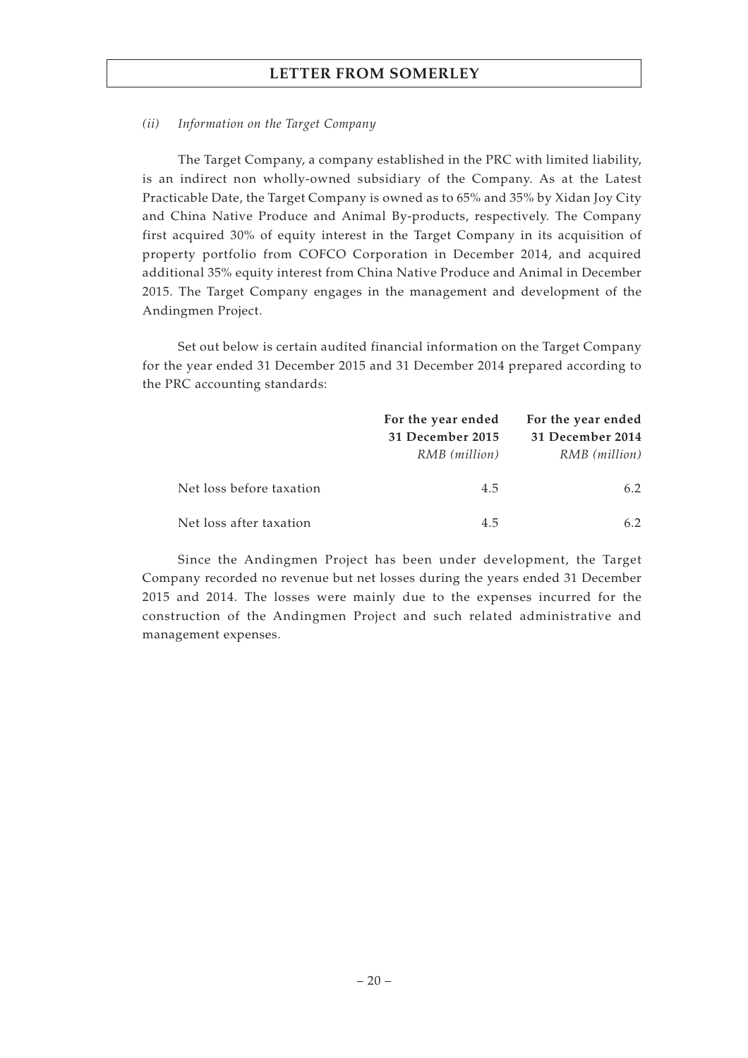## *(ii) Information on the Target Company*

The Target Company, a company established in the PRC with limited liability, is an indirect non wholly-owned subsidiary of the Company. As at the Latest Practicable Date, the Target Company is owned as to 65% and 35% by Xidan Joy City and China Native Produce and Animal By-products, respectively. The Company first acquired 30% of equity interest in the Target Company in its acquisition of property portfolio from COFCO Corporation in December 2014, and acquired additional 35% equity interest from China Native Produce and Animal in December 2015. The Target Company engages in the management and development of the Andingmen Project.

Set out below is certain audited financial information on the Target Company for the year ended 31 December 2015 and 31 December 2014 prepared according to the PRC accounting standards:

|                          | For the year ended<br>31 December 2015<br>RMB (million) | For the year ended<br>31 December 2014<br>RMB (million) |
|--------------------------|---------------------------------------------------------|---------------------------------------------------------|
| Net loss before taxation | 4.5                                                     | 6.2                                                     |
| Net loss after taxation  | 45                                                      | 62                                                      |

Since the Andingmen Project has been under development, the Target Company recorded no revenue but net losses during the years ended 31 December 2015 and 2014. The losses were mainly due to the expenses incurred for the construction of the Andingmen Project and such related administrative and management expenses.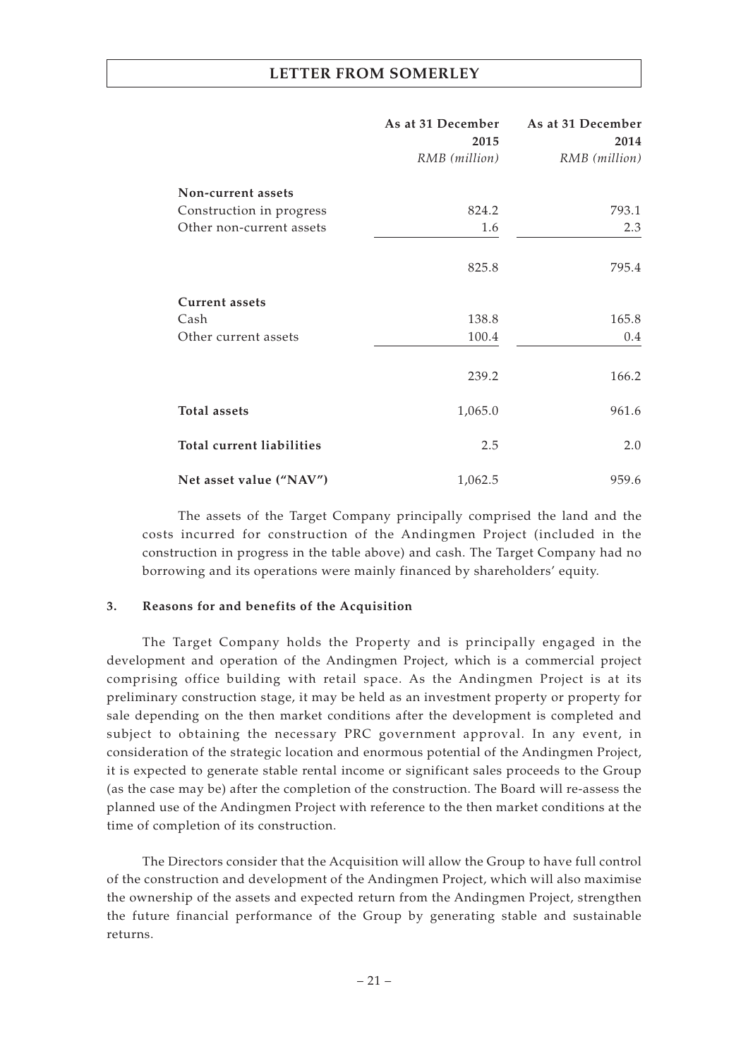|                           | As at 31 December<br>2015 | As at 31 December<br>2014 |
|---------------------------|---------------------------|---------------------------|
|                           | RMB (million)             | RMB (million)             |
| Non-current assets        |                           |                           |
| Construction in progress  | 824.2                     | 793.1                     |
| Other non-current assets  | 1.6                       | 2.3                       |
|                           | 825.8                     | 795.4                     |
| <b>Current assets</b>     |                           |                           |
| Cash                      | 138.8                     | 165.8                     |
| Other current assets      | 100.4                     | $0.4\,$                   |
|                           |                           |                           |
|                           | 239.2                     | 166.2                     |
| <b>Total assets</b>       | 1,065.0                   | 961.6                     |
| Total current liabilities | 2.5                       | 2.0                       |
| Net asset value ("NAV")   | 1,062.5                   | 959.6                     |

The assets of the Target Company principally comprised the land and the costs incurred for construction of the Andingmen Project (included in the construction in progress in the table above) and cash. The Target Company had no borrowing and its operations were mainly financed by shareholders' equity.

## **3. Reasons for and benefits of the Acquisition**

The Target Company holds the Property and is principally engaged in the development and operation of the Andingmen Project, which is a commercial project comprising office building with retail space. As the Andingmen Project is at its preliminary construction stage, it may be held as an investment property or property for sale depending on the then market conditions after the development is completed and subject to obtaining the necessary PRC government approval. In any event, in consideration of the strategic location and enormous potential of the Andingmen Project, it is expected to generate stable rental income or significant sales proceeds to the Group (as the case may be) after the completion of the construction. The Board will re-assess the planned use of the Andingmen Project with reference to the then market conditions at the time of completion of its construction.

The Directors consider that the Acquisition will allow the Group to have full control of the construction and development of the Andingmen Project, which will also maximise the ownership of the assets and expected return from the Andingmen Project, strengthen the future financial performance of the Group by generating stable and sustainable returns.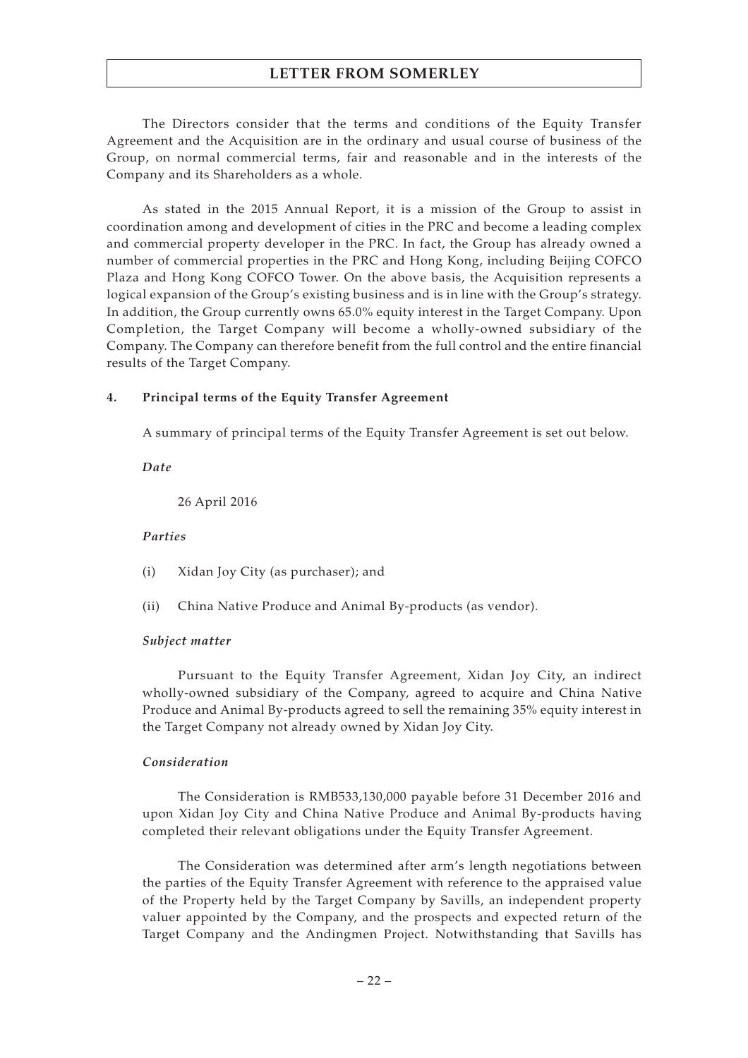The Directors consider that the terms and conditions of the Equity Transfer Agreement and the Acquisition are in the ordinary and usual course of business of the Group, on normal commercial terms, fair and reasonable and in the interests of the Company and its Shareholders as a whole.

As stated in the 2015 Annual Report, it is a mission of the Group to assist in coordination among and development of cities in the PRC and become a leading complex and commercial property developer in the PRC. In fact, the Group has already owned a number of commercial properties in the PRC and Hong Kong, including Beijing COFCO Plaza and Hong Kong COFCO Tower. On the above basis, the Acquisition represents a logical expansion of the Group's existing business and is in line with the Group's strategy. In addition, the Group currently owns 65.0% equity interest in the Target Company. Upon Completion, the Target Company will become a wholly-owned subsidiary of the Company. The Company can therefore benefit from the full control and the entire financial results of the Target Company.

## **4. Principal terms of the Equity Transfer Agreement**

A summary of principal terms of the Equity Transfer Agreement is set out below.

*Date*

26 April 2016

## *Parties*

- (i) Xidan Joy City (as purchaser); and
- (ii) China Native Produce and Animal By-products (as vendor).

#### *Subject matter*

Pursuant to the Equity Transfer Agreement, Xidan Joy City, an indirect wholly-owned subsidiary of the Company, agreed to acquire and China Native Produce and Animal By-products agreed to sell the remaining 35% equity interest in the Target Company not already owned by Xidan Joy City.

#### *Consideration*

The Consideration is RMB533,130,000 payable before 31 December 2016 and upon Xidan Joy City and China Native Produce and Animal By-products having completed their relevant obligations under the Equity Transfer Agreement.

The Consideration was determined after arm's length negotiations between the parties of the Equity Transfer Agreement with reference to the appraised value of the Property held by the Target Company by Savills, an independent property valuer appointed by the Company, and the prospects and expected return of the Target Company and the Andingmen Project. Notwithstanding that Savills has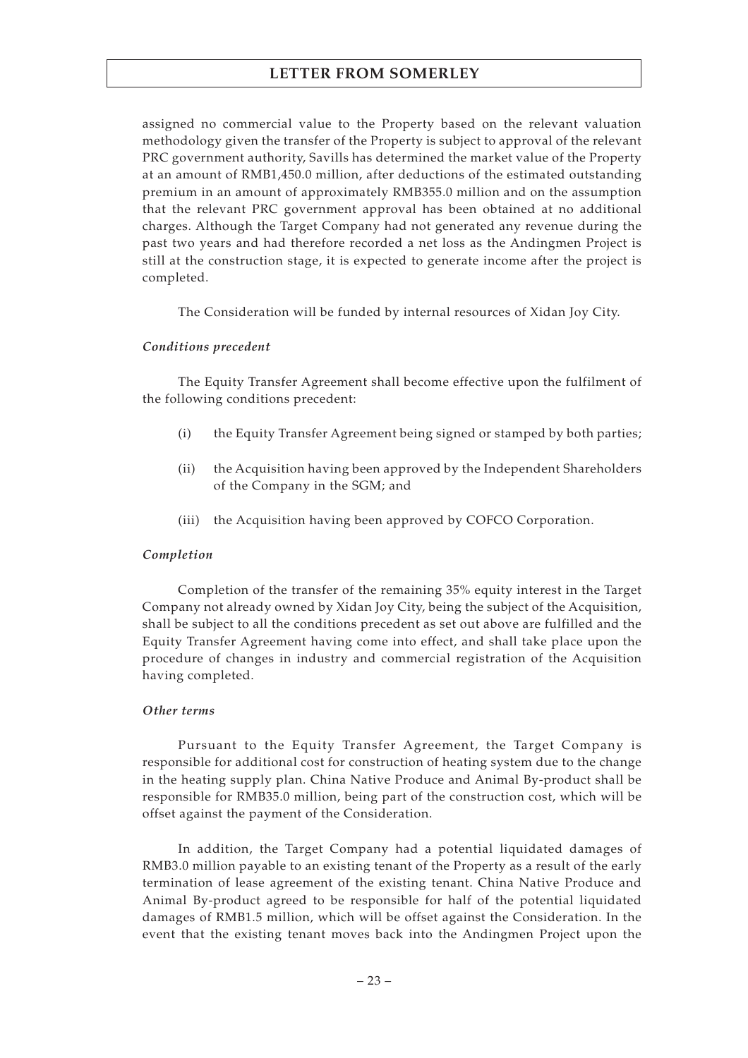assigned no commercial value to the Property based on the relevant valuation methodology given the transfer of the Property is subject to approval of the relevant PRC government authority, Savills has determined the market value of the Property at an amount of RMB1,450.0 million, after deductions of the estimated outstanding premium in an amount of approximately RMB355.0 million and on the assumption that the relevant PRC government approval has been obtained at no additional charges. Although the Target Company had not generated any revenue during the past two years and had therefore recorded a net loss as the Andingmen Project is still at the construction stage, it is expected to generate income after the project is completed.

The Consideration will be funded by internal resources of Xidan Joy City.

## *Conditions precedent*

The Equity Transfer Agreement shall become effective upon the fulfilment of the following conditions precedent:

- (i) the Equity Transfer Agreement being signed or stamped by both parties;
- (ii) the Acquisition having been approved by the Independent Shareholders of the Company in the SGM; and
- (iii) the Acquisition having been approved by COFCO Corporation.

## *Completion*

Completion of the transfer of the remaining 35% equity interest in the Target Company not already owned by Xidan Joy City, being the subject of the Acquisition, shall be subject to all the conditions precedent as set out above are fulfilled and the Equity Transfer Agreement having come into effect, and shall take place upon the procedure of changes in industry and commercial registration of the Acquisition having completed.

## *Other terms*

Pursuant to the Equity Transfer Agreement, the Target Company is responsible for additional cost for construction of heating system due to the change in the heating supply plan. China Native Produce and Animal By-product shall be responsible for RMB35.0 million, being part of the construction cost, which will be offset against the payment of the Consideration.

In addition, the Target Company had a potential liquidated damages of RMB3.0 million payable to an existing tenant of the Property as a result of the early termination of lease agreement of the existing tenant. China Native Produce and Animal By-product agreed to be responsible for half of the potential liquidated damages of RMB1.5 million, which will be offset against the Consideration. In the event that the existing tenant moves back into the Andingmen Project upon the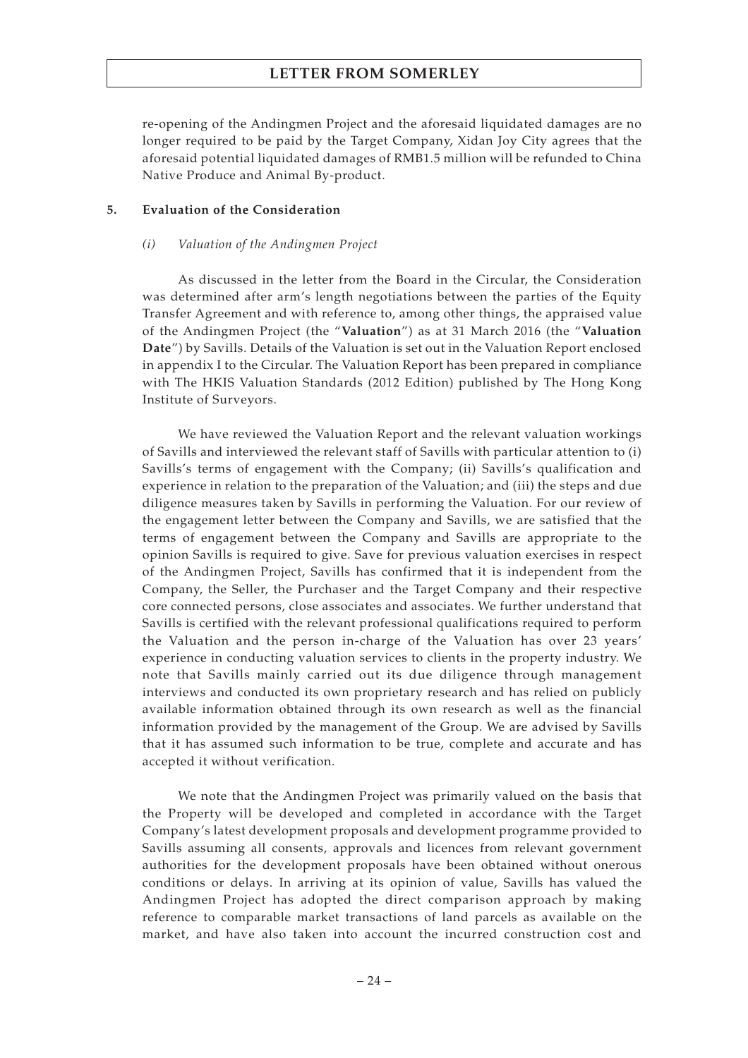re-opening of the Andingmen Project and the aforesaid liquidated damages are no longer required to be paid by the Target Company, Xidan Joy City agrees that the aforesaid potential liquidated damages of RMB1.5 million will be refunded to China Native Produce and Animal By-product.

## **5. Evaluation of the Consideration**

## *(i) Valuation of the Andingmen Project*

As discussed in the letter from the Board in the Circular, the Consideration was determined after arm's length negotiations between the parties of the Equity Transfer Agreement and with reference to, among other things, the appraised value of the Andingmen Project (the "**Valuation**") as at 31 March 2016 (the "**Valuation Date**") by Savills. Details of the Valuation is set out in the Valuation Report enclosed in appendix I to the Circular. The Valuation Report has been prepared in compliance with The HKIS Valuation Standards (2012 Edition) published by The Hong Kong Institute of Surveyors.

We have reviewed the Valuation Report and the relevant valuation workings of Savills and interviewed the relevant staff of Savills with particular attention to (i) Savills's terms of engagement with the Company; (ii) Savills's qualification and experience in relation to the preparation of the Valuation; and (iii) the steps and due diligence measures taken by Savills in performing the Valuation. For our review of the engagement letter between the Company and Savills, we are satisfied that the terms of engagement between the Company and Savills are appropriate to the opinion Savills is required to give. Save for previous valuation exercises in respect of the Andingmen Project, Savills has confirmed that it is independent from the Company, the Seller, the Purchaser and the Target Company and their respective core connected persons, close associates and associates. We further understand that Savills is certified with the relevant professional qualifications required to perform the Valuation and the person in-charge of the Valuation has over 23 years' experience in conducting valuation services to clients in the property industry. We note that Savills mainly carried out its due diligence through management interviews and conducted its own proprietary research and has relied on publicly available information obtained through its own research as well as the financial information provided by the management of the Group. We are advised by Savills that it has assumed such information to be true, complete and accurate and has accepted it without verification.

We note that the Andingmen Project was primarily valued on the basis that the Property will be developed and completed in accordance with the Target Company's latest development proposals and development programme provided to Savills assuming all consents, approvals and licences from relevant government authorities for the development proposals have been obtained without onerous conditions or delays. In arriving at its opinion of value, Savills has valued the Andingmen Project has adopted the direct comparison approach by making reference to comparable market transactions of land parcels as available on the market, and have also taken into account the incurred construction cost and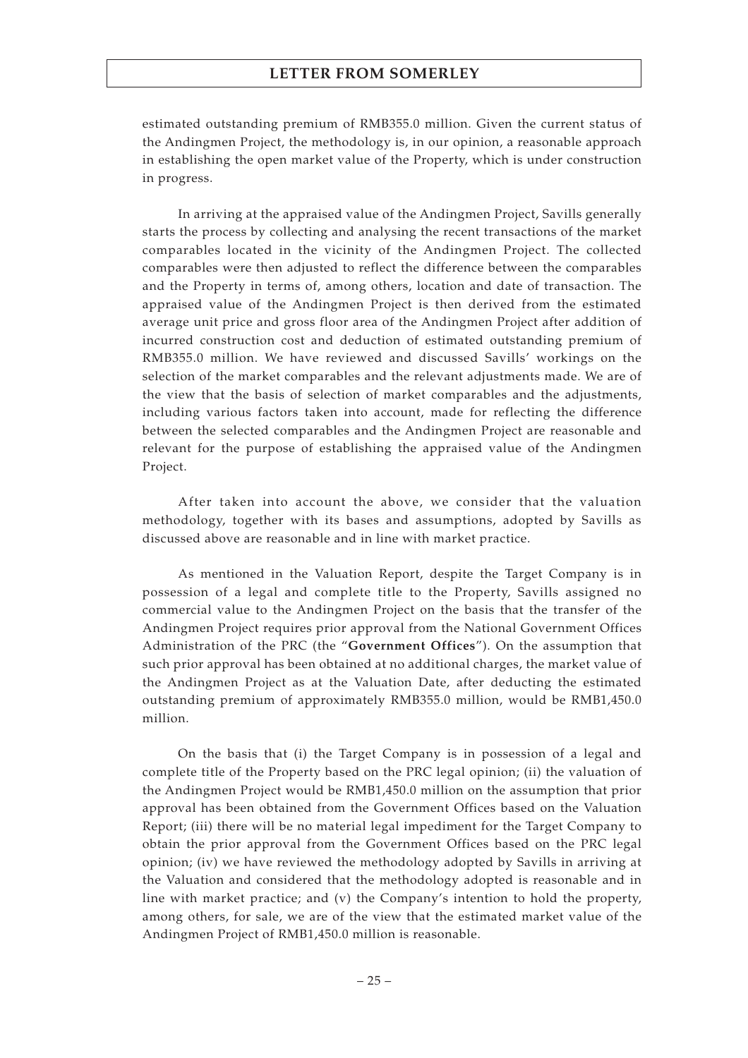estimated outstanding premium of RMB355.0 million. Given the current status of the Andingmen Project, the methodology is, in our opinion, a reasonable approach in establishing the open market value of the Property, which is under construction in progress.

In arriving at the appraised value of the Andingmen Project, Savills generally starts the process by collecting and analysing the recent transactions of the market comparables located in the vicinity of the Andingmen Project. The collected comparables were then adjusted to reflect the difference between the comparables and the Property in terms of, among others, location and date of transaction. The appraised value of the Andingmen Project is then derived from the estimated average unit price and gross floor area of the Andingmen Project after addition of incurred construction cost and deduction of estimated outstanding premium of RMB355.0 million. We have reviewed and discussed Savills' workings on the selection of the market comparables and the relevant adjustments made. We are of the view that the basis of selection of market comparables and the adjustments, including various factors taken into account, made for reflecting the difference between the selected comparables and the Andingmen Project are reasonable and relevant for the purpose of establishing the appraised value of the Andingmen Project.

After taken into account the above, we consider that the valuation methodology, together with its bases and assumptions, adopted by Savills as discussed above are reasonable and in line with market practice.

As mentioned in the Valuation Report, despite the Target Company is in possession of a legal and complete title to the Property, Savills assigned no commercial value to the Andingmen Project on the basis that the transfer of the Andingmen Project requires prior approval from the National Government Offices Administration of the PRC (the "**Government Offices**"). On the assumption that such prior approval has been obtained at no additional charges, the market value of the Andingmen Project as at the Valuation Date, after deducting the estimated outstanding premium of approximately RMB355.0 million, would be RMB1,450.0 million.

On the basis that (i) the Target Company is in possession of a legal and complete title of the Property based on the PRC legal opinion; (ii) the valuation of the Andingmen Project would be RMB1,450.0 million on the assumption that prior approval has been obtained from the Government Offices based on the Valuation Report; (iii) there will be no material legal impediment for the Target Company to obtain the prior approval from the Government Offices based on the PRC legal opinion; (iv) we have reviewed the methodology adopted by Savills in arriving at the Valuation and considered that the methodology adopted is reasonable and in line with market practice; and (v) the Company's intention to hold the property, among others, for sale, we are of the view that the estimated market value of the Andingmen Project of RMB1,450.0 million is reasonable.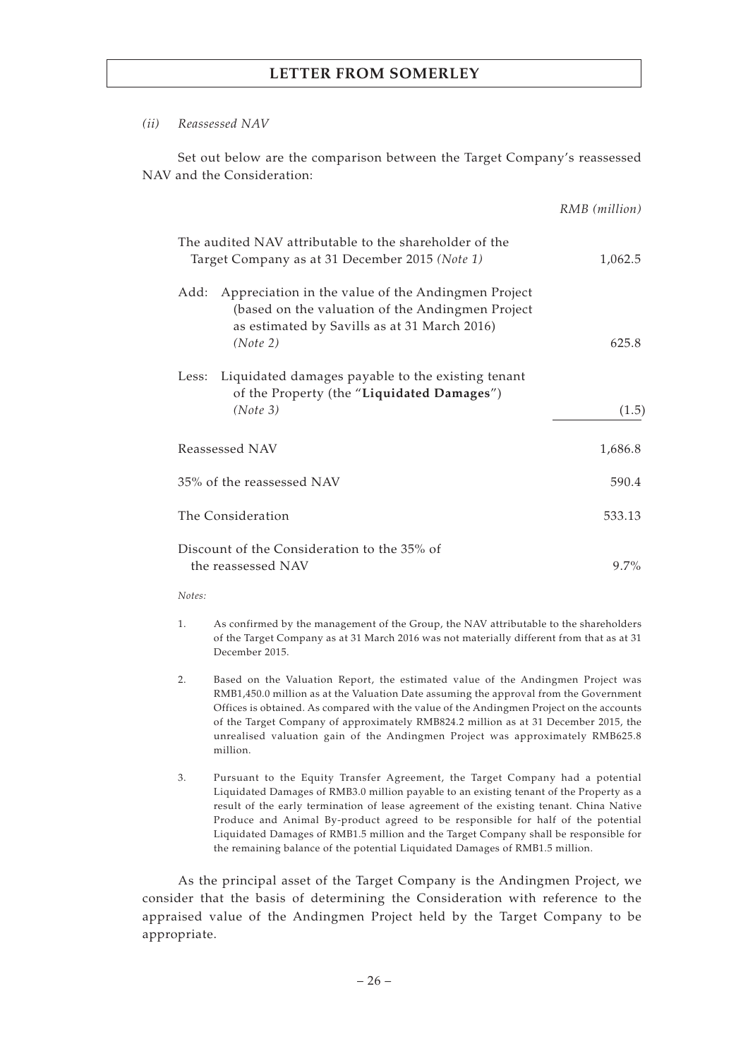## *(ii) Reassessed NAV*

Set out below are the comparison between the Target Company's reassessed NAV and the Consideration:

|                                                                                                                                                                            | RMB (million) |
|----------------------------------------------------------------------------------------------------------------------------------------------------------------------------|---------------|
| The audited NAV attributable to the shareholder of the<br>Target Company as at 31 December 2015 (Note 1)                                                                   | 1,062.5       |
| Appreciation in the value of the Andingmen Project<br>Add:<br>(based on the valuation of the Andingmen Project<br>as estimated by Savills as at 31 March 2016)<br>(Note 2) | 625.8         |
| Liquidated damages payable to the existing tenant<br>Less:<br>of the Property (the "Liquidated Damages")<br>(Note 3)                                                       | (1.5)         |
| Reassessed NAV                                                                                                                                                             | 1,686.8       |
| 35% of the reassessed NAV                                                                                                                                                  | 590.4         |
| The Consideration                                                                                                                                                          | 533.13        |
| Discount of the Consideration to the 35% of<br>the reassessed NAV                                                                                                          | $9.7\%$       |

*Notes:*

- 1. As confirmed by the management of the Group, the NAV attributable to the shareholders of the Target Company as at 31 March 2016 was not materially different from that as at 31 December 2015.
- 2. Based on the Valuation Report, the estimated value of the Andingmen Project was RMB1,450.0 million as at the Valuation Date assuming the approval from the Government Offices is obtained. As compared with the value of the Andingmen Project on the accounts of the Target Company of approximately RMB824.2 million as at 31 December 2015, the unrealised valuation gain of the Andingmen Project was approximately RMB625.8 million.
- 3. Pursuant to the Equity Transfer Agreement, the Target Company had a potential Liquidated Damages of RMB3.0 million payable to an existing tenant of the Property as a result of the early termination of lease agreement of the existing tenant. China Native Produce and Animal By-product agreed to be responsible for half of the potential Liquidated Damages of RMB1.5 million and the Target Company shall be responsible for the remaining balance of the potential Liquidated Damages of RMB1.5 million.

As the principal asset of the Target Company is the Andingmen Project, we consider that the basis of determining the Consideration with reference to the appraised value of the Andingmen Project held by the Target Company to be appropriate.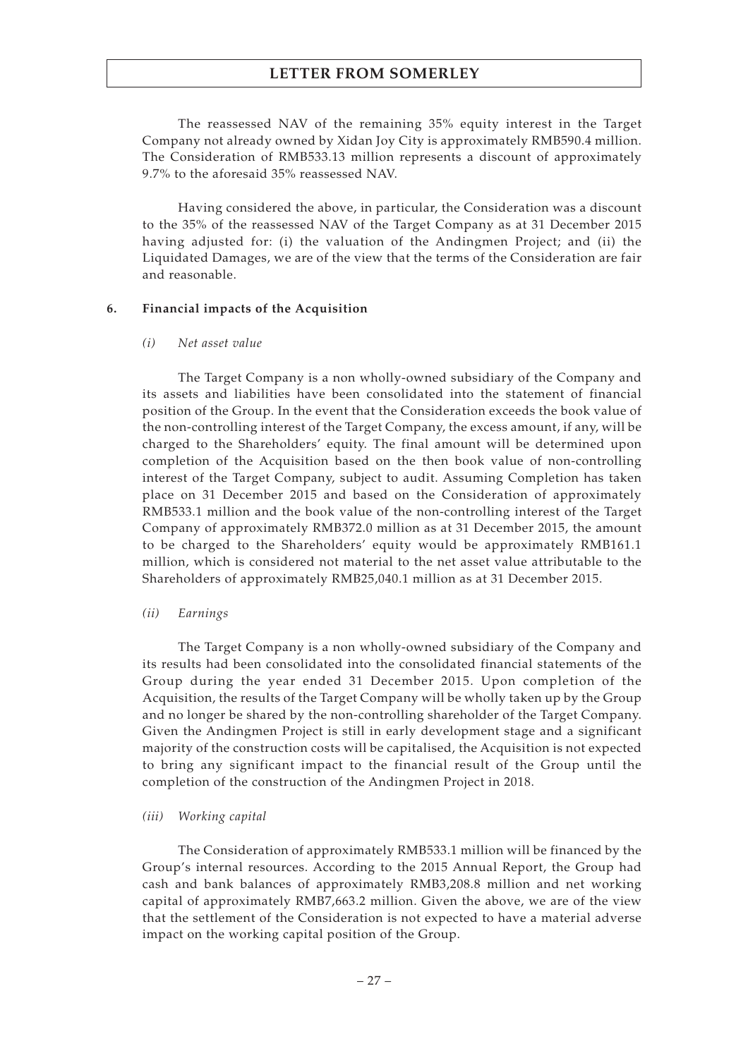The reassessed NAV of the remaining 35% equity interest in the Target Company not already owned by Xidan Joy City is approximately RMB590.4 million. The Consideration of RMB533.13 million represents a discount of approximately 9.7% to the aforesaid 35% reassessed NAV.

Having considered the above, in particular, the Consideration was a discount to the 35% of the reassessed NAV of the Target Company as at 31 December 2015 having adjusted for: (i) the valuation of the Andingmen Project; and (ii) the Liquidated Damages, we are of the view that the terms of the Consideration are fair and reasonable.

## **6. Financial impacts of the Acquisition**

## *(i) Net asset value*

The Target Company is a non wholly-owned subsidiary of the Company and its assets and liabilities have been consolidated into the statement of financial position of the Group. In the event that the Consideration exceeds the book value of the non-controlling interest of the Target Company, the excess amount, if any, will be charged to the Shareholders' equity. The final amount will be determined upon completion of the Acquisition based on the then book value of non-controlling interest of the Target Company, subject to audit. Assuming Completion has taken place on 31 December 2015 and based on the Consideration of approximately RMB533.1 million and the book value of the non-controlling interest of the Target Company of approximately RMB372.0 million as at 31 December 2015, the amount to be charged to the Shareholders' equity would be approximately RMB161.1 million, which is considered not material to the net asset value attributable to the Shareholders of approximately RMB25,040.1 million as at 31 December 2015.

## *(ii) Earnings*

The Target Company is a non wholly-owned subsidiary of the Company and its results had been consolidated into the consolidated financial statements of the Group during the year ended 31 December 2015. Upon completion of the Acquisition, the results of the Target Company will be wholly taken up by the Group and no longer be shared by the non-controlling shareholder of the Target Company. Given the Andingmen Project is still in early development stage and a significant majority of the construction costs will be capitalised, the Acquisition is not expected to bring any significant impact to the financial result of the Group until the completion of the construction of the Andingmen Project in 2018.

## *(iii) Working capital*

The Consideration of approximately RMB533.1 million will be financed by the Group's internal resources. According to the 2015 Annual Report, the Group had cash and bank balances of approximately RMB3,208.8 million and net working capital of approximately RMB7,663.2 million. Given the above, we are of the view that the settlement of the Consideration is not expected to have a material adverse impact on the working capital position of the Group.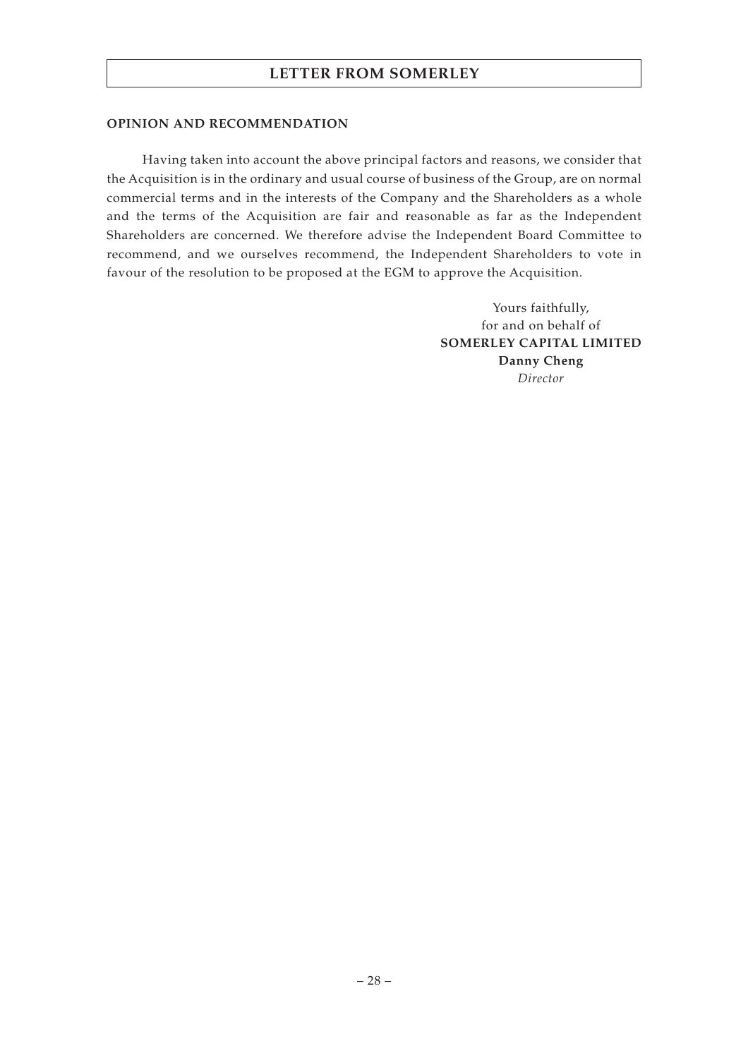### **OPINION AND RECOMMENDATION**

Having taken into account the above principal factors and reasons, we consider that the Acquisition is in the ordinary and usual course of business of the Group, are on normal commercial terms and in the interests of the Company and the Shareholders as a whole and the terms of the Acquisition are fair and reasonable as far as the Independent Shareholders are concerned. We therefore advise the Independent Board Committee to recommend, and we ourselves recommend, the Independent Shareholders to vote in favour of the resolution to be proposed at the EGM to approve the Acquisition.

> Yours faithfully, for and on behalf of **SOMERLEY CAPITAL LIMITED Danny Cheng** *Director*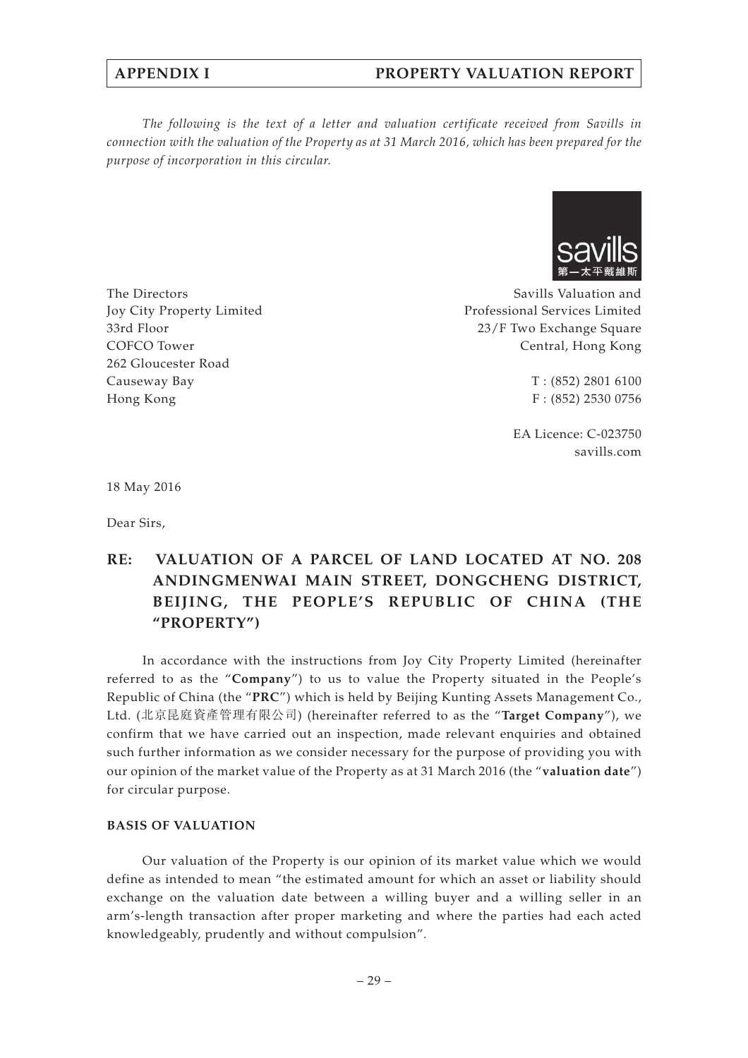## **APPENDIX I PROPERTY VALUATION REPORT**

*The following is the text of a letter and valuation certificate received from Savills in connection with the valuation of the Property as at 31 March 2016, which has been prepared for the purpose of incorporation in this circular.*



Savills Valuation and Professional Services Limited 23/F Two Exchange Square Central, Hong Kong

> T : (852) 2801 6100 F : (852) 2530 0756

EA Licence: C-023750 savills.com

18 May 2016

The Directors

Causeway Bay Hong Kong

33rd Floor COFCO Tower 262 Gloucester Road

Joy City Property Limited

Dear Sirs,

# **RE: VALUATION OF A PARCEL OF LAND LOCATED AT NO. 208 ANDINGMENWAI MAIN STREET, DONGCHENG DISTRICT, BEIJING, THE PEOPLE'S REPUBLIC OF CHINA (THE "PROPERTY")**

In accordance with the instructions from Joy City Property Limited (hereinafter referred to as the "**Company**") to us to value the Property situated in the People's Republic of China (the "**PRC**") which is held by Beijing Kunting Assets Management Co., Ltd. (北京昆庭資產管理有限公司) (hereinafter referred to as the "**Target Company**"), we confirm that we have carried out an inspection, made relevant enquiries and obtained such further information as we consider necessary for the purpose of providing you with our opinion of the market value of the Property as at 31 March 2016 (the "**valuation date**") for circular purpose.

### **BASIS OF VALUATION**

Our valuation of the Property is our opinion of its market value which we would define as intended to mean "the estimated amount for which an asset or liability should exchange on the valuation date between a willing buyer and a willing seller in an arm's-length transaction after proper marketing and where the parties had each acted knowledgeably, prudently and without compulsion".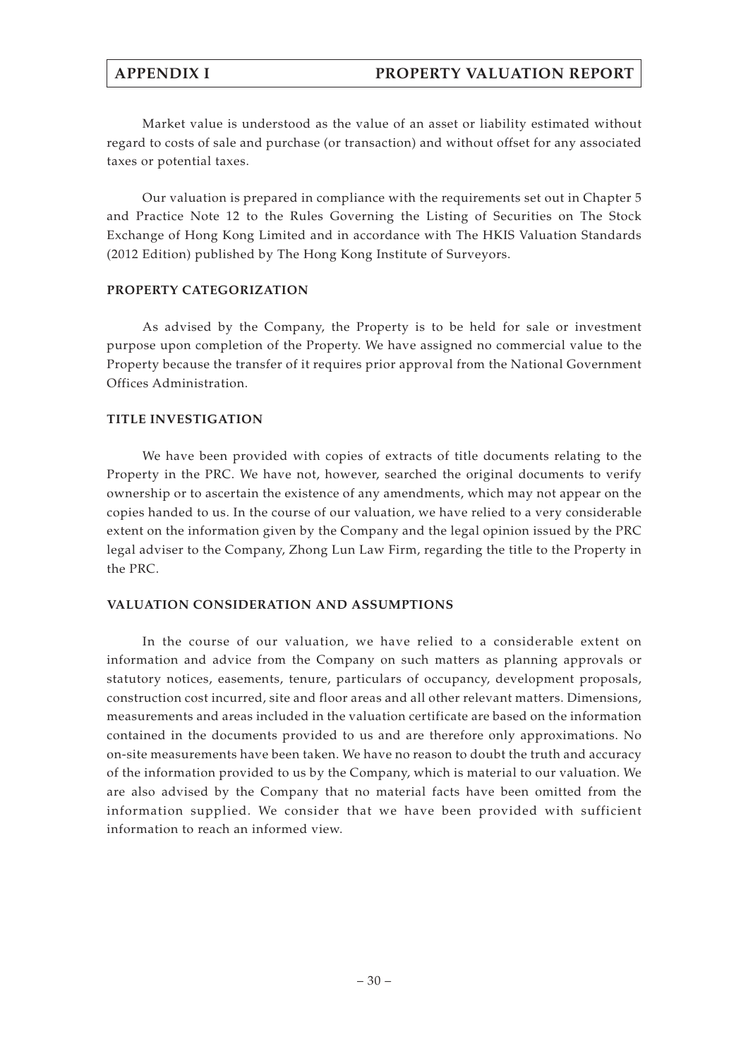Market value is understood as the value of an asset or liability estimated without regard to costs of sale and purchase (or transaction) and without offset for any associated taxes or potential taxes.

Our valuation is prepared in compliance with the requirements set out in Chapter 5 and Practice Note 12 to the Rules Governing the Listing of Securities on The Stock Exchange of Hong Kong Limited and in accordance with The HKIS Valuation Standards (2012 Edition) published by The Hong Kong Institute of Surveyors.

## **PROPERTY CATEGORIZATION**

As advised by the Company, the Property is to be held for sale or investment purpose upon completion of the Property. We have assigned no commercial value to the Property because the transfer of it requires prior approval from the National Government Offices Administration.

## **TITLE INVESTIGATION**

We have been provided with copies of extracts of title documents relating to the Property in the PRC. We have not, however, searched the original documents to verify ownership or to ascertain the existence of any amendments, which may not appear on the copies handed to us. In the course of our valuation, we have relied to a very considerable extent on the information given by the Company and the legal opinion issued by the PRC legal adviser to the Company, Zhong Lun Law Firm, regarding the title to the Property in the PRC.

## **VALUATION CONSIDERATION AND ASSUMPTIONS**

In the course of our valuation, we have relied to a considerable extent on information and advice from the Company on such matters as planning approvals or statutory notices, easements, tenure, particulars of occupancy, development proposals, construction cost incurred, site and floor areas and all other relevant matters. Dimensions, measurements and areas included in the valuation certificate are based on the information contained in the documents provided to us and are therefore only approximations. No on-site measurements have been taken. We have no reason to doubt the truth and accuracy of the information provided to us by the Company, which is material to our valuation. We are also advised by the Company that no material facts have been omitted from the information supplied. We consider that we have been provided with sufficient information to reach an informed view.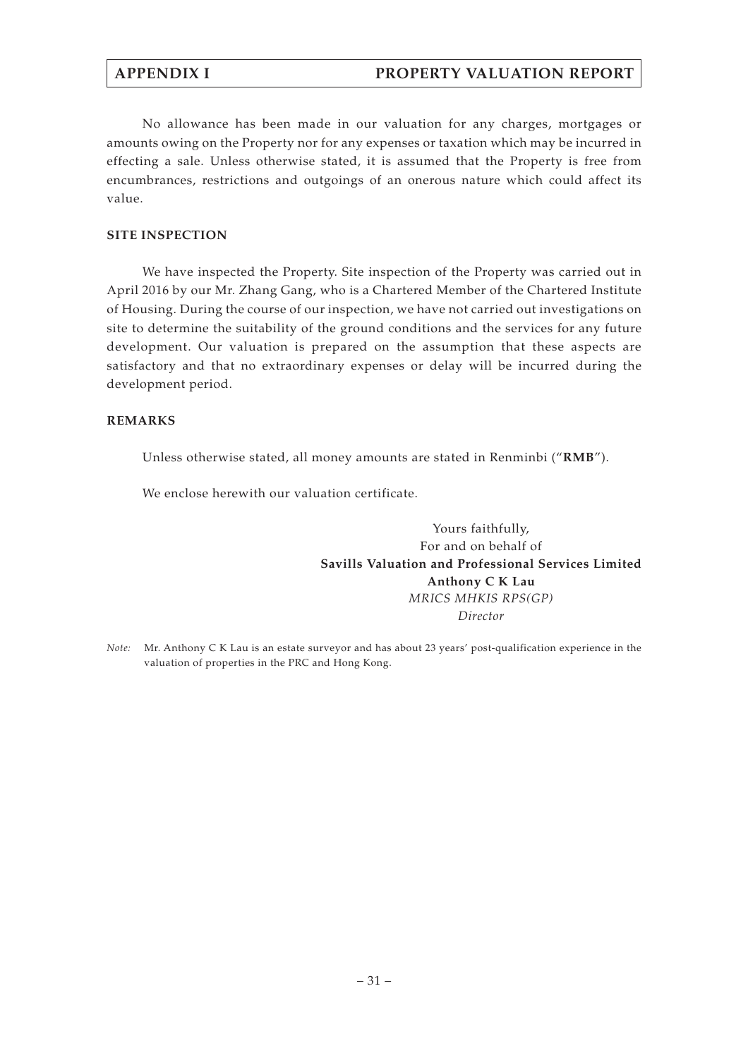No allowance has been made in our valuation for any charges, mortgages or amounts owing on the Property nor for any expenses or taxation which may be incurred in effecting a sale. Unless otherwise stated, it is assumed that the Property is free from encumbrances, restrictions and outgoings of an onerous nature which could affect its value.

## **SITE INSPECTION**

We have inspected the Property. Site inspection of the Property was carried out in April 2016 by our Mr. Zhang Gang, who is a Chartered Member of the Chartered Institute of Housing. During the course of our inspection, we have not carried out investigations on site to determine the suitability of the ground conditions and the services for any future development. Our valuation is prepared on the assumption that these aspects are satisfactory and that no extraordinary expenses or delay will be incurred during the development period.

## **REMARKS**

Unless otherwise stated, all money amounts are stated in Renminbi ("**RMB**").

We enclose herewith our valuation certificate.

Yours faithfully, For and on behalf of **Savills Valuation and Professional Services Limited Anthony C K Lau** *MRICS MHKIS RPS(GP) Director*

*Note:* Mr. Anthony C K Lau is an estate surveyor and has about 23 years' post-qualification experience in the valuation of properties in the PRC and Hong Kong.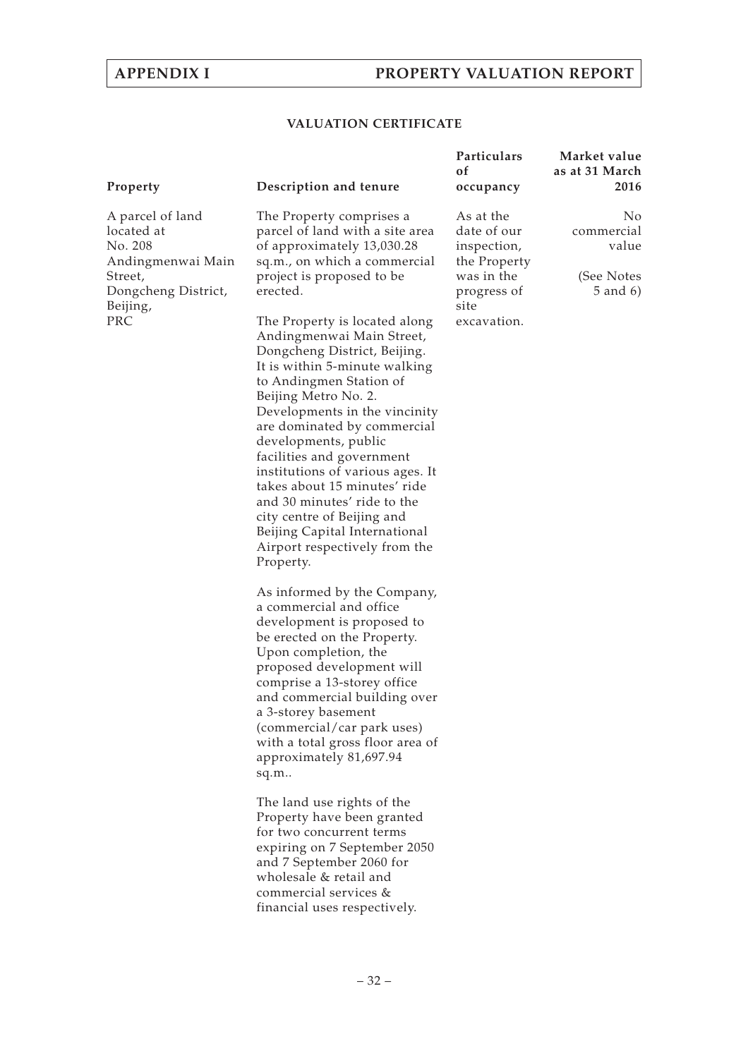## **VALUATION CERTIFICATE**

| Property                                                                                                            | Description and tenure                                                                                                                                                                                                                                                                                                                                                                                                                                                             | Particulars<br>of<br>occupancy                                                                              | Market value<br>as at 31 March<br>2016                  |
|---------------------------------------------------------------------------------------------------------------------|------------------------------------------------------------------------------------------------------------------------------------------------------------------------------------------------------------------------------------------------------------------------------------------------------------------------------------------------------------------------------------------------------------------------------------------------------------------------------------|-------------------------------------------------------------------------------------------------------------|---------------------------------------------------------|
| A parcel of land<br>located at<br>No. 208<br>Andingmenwai Main<br>Street,<br>Dongcheng District,<br>Beijing,<br>PRC | The Property comprises a<br>parcel of land with a site area<br>of approximately 13,030.28<br>sq.m., on which a commercial<br>project is proposed to be<br>erected.<br>The Property is located along                                                                                                                                                                                                                                                                                | As at the<br>date of our<br>inspection,<br>the Property<br>was in the<br>progress of<br>site<br>excavation. | No<br>commercial<br>value<br>(See Notes<br>$5$ and $6)$ |
|                                                                                                                     | Andingmenwai Main Street,<br>Dongcheng District, Beijing.<br>It is within 5-minute walking<br>to Andingmen Station of<br>Beijing Metro No. 2.<br>Developments in the vincinity<br>are dominated by commercial<br>developments, public<br>facilities and government<br>institutions of various ages. It<br>takes about 15 minutes' ride<br>and 30 minutes' ride to the<br>city centre of Beijing and<br>Beijing Capital International<br>Airport respectively from the<br>Property. |                                                                                                             |                                                         |
|                                                                                                                     | As informed by the Company,<br>a commercial and office<br>development is proposed to<br>be erected on the Property.<br>Upon completion, the<br>proposed development will<br>comprise a 13-storey office<br>and commercial building over<br>a 3-storey basement<br>(commercial/car park uses)<br>with a total gross floor area of<br>approximately 81,697.94<br>sq.m                                                                                                                |                                                                                                             |                                                         |
|                                                                                                                     | The land use rights of the<br>Property have been granted<br>for two concurrent terms<br>expiring on 7 September 2050<br>and 7 September 2060 for<br>wholesale & retail and<br>commercial services &<br>financial uses respectively.                                                                                                                                                                                                                                                |                                                                                                             |                                                         |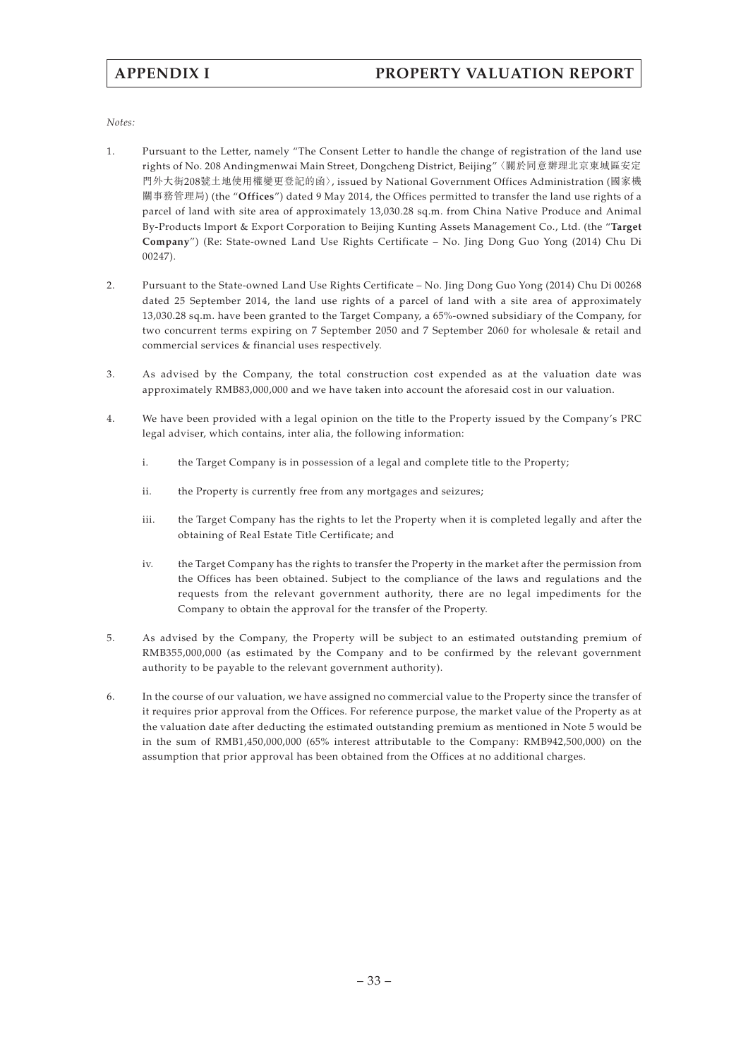# **APPENDIX I PROPERTY VALUATION REPORT**

#### *Notes:*

- 1. Pursuant to the Letter, namely "The Consent Letter to handle the change of registration of the land use rights of No. 208 Andingmenwai Main Street, Dongcheng District, Beijing"〈關於同意辦理北京東城區安定 門外大街208號土地使用權變更登記的函〉, issued by National Government Offices Administration (國家機 關事務管理局) (the "**Offices**") dated 9 May 2014, the Offices permitted to transfer the land use rights of a parcel of land with site area of approximately 13,030.28 sq.m. from China Native Produce and Animal By-Products lmport & Export Corporation to Beijing Kunting Assets Management Co., Ltd. (the "**Target Company**") (Re: State-owned Land Use Rights Certificate – No. Jing Dong Guo Yong (2014) Chu Di 00247).
- 2. Pursuant to the State-owned Land Use Rights Certificate No. Jing Dong Guo Yong (2014) Chu Di 00268 dated 25 September 2014, the land use rights of a parcel of land with a site area of approximately 13,030.28 sq.m. have been granted to the Target Company, a 65%-owned subsidiary of the Company, for two concurrent terms expiring on 7 September 2050 and 7 September 2060 for wholesale & retail and commercial services & financial uses respectively.
- 3. As advised by the Company, the total construction cost expended as at the valuation date was approximately RMB83,000,000 and we have taken into account the aforesaid cost in our valuation.
- 4. We have been provided with a legal opinion on the title to the Property issued by the Company's PRC legal adviser, which contains, inter alia, the following information:
	- i. the Target Company is in possession of a legal and complete title to the Property;
	- ii. the Property is currently free from any mortgages and seizures;
	- iii. the Target Company has the rights to let the Property when it is completed legally and after the obtaining of Real Estate Title Certificate; and
	- iv. the Target Company has the rights to transfer the Property in the market after the permission from the Offices has been obtained. Subject to the compliance of the laws and regulations and the requests from the relevant government authority, there are no legal impediments for the Company to obtain the approval for the transfer of the Property.
- 5. As advised by the Company, the Property will be subject to an estimated outstanding premium of RMB355,000,000 (as estimated by the Company and to be confirmed by the relevant government authority to be payable to the relevant government authority).
- 6. In the course of our valuation, we have assigned no commercial value to the Property since the transfer of it requires prior approval from the Offices. For reference purpose, the market value of the Property as at the valuation date after deducting the estimated outstanding premium as mentioned in Note 5 would be in the sum of RMB1,450,000,000 (65% interest attributable to the Company: RMB942,500,000) on the assumption that prior approval has been obtained from the Offices at no additional charges.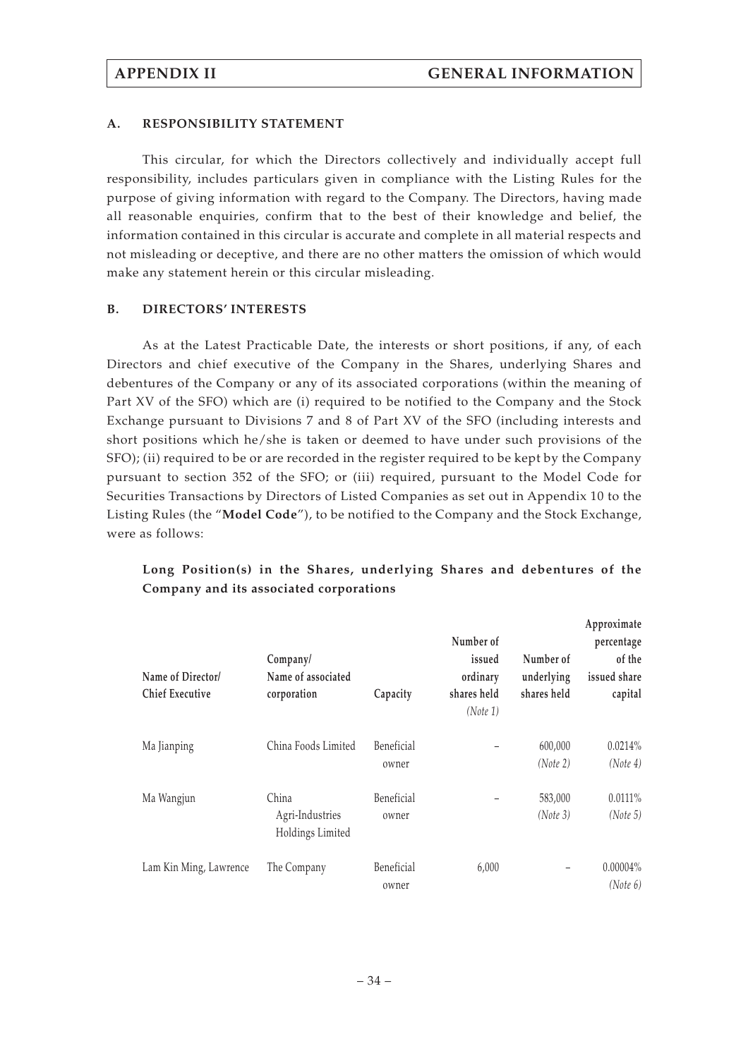## **A. RESPONSIBILITY STATEMENT**

This circular, for which the Directors collectively and individually accept full responsibility, includes particulars given in compliance with the Listing Rules for the purpose of giving information with regard to the Company. The Directors, having made all reasonable enquiries, confirm that to the best of their knowledge and belief, the information contained in this circular is accurate and complete in all material respects and not misleading or deceptive, and there are no other matters the omission of which would make any statement herein or this circular misleading.

## **B. DIRECTORS' INTERESTS**

As at the Latest Practicable Date, the interests or short positions, if any, of each Directors and chief executive of the Company in the Shares, underlying Shares and debentures of the Company or any of its associated corporations (within the meaning of Part XV of the SFO) which are (i) required to be notified to the Company and the Stock Exchange pursuant to Divisions 7 and 8 of Part XV of the SFO (including interests and short positions which he/she is taken or deemed to have under such provisions of the SFO); (ii) required to be or are recorded in the register required to be kept by the Company pursuant to section 352 of the SFO; or (iii) required, pursuant to the Model Code for Securities Transactions by Directors of Listed Companies as set out in Appendix 10 to the Listing Rules (the "**Model Code**"), to be notified to the Company and the Stock Exchange, were as follows:

| Name of Director/<br><b>Chief Executive</b> | Company/<br>Name of associated<br>corporation | Capacity            | Number of<br>issued<br>ordinary<br>shares held<br>(Note 1) | Number of<br>underlying<br>shares held | Approximate<br>percentage<br>of the<br>issued share<br>capital |
|---------------------------------------------|-----------------------------------------------|---------------------|------------------------------------------------------------|----------------------------------------|----------------------------------------------------------------|
| Ma Jianping                                 | China Foods Limited                           | Beneficial<br>owner |                                                            | 600,000<br>(Note 2)                    | 0.0214%<br>(Note 4)                                            |
| Ma Wangjun                                  | China<br>Agri-Industries<br>Holdings Limited  | Beneficial<br>owner |                                                            | 583,000<br>(Note 3)                    | $0.0111\%$<br>(Note 5)                                         |
| Lam Kin Ming, Lawrence                      | The Company                                   | Beneficial<br>owner | 6,000                                                      | $\qquad \qquad -$                      | $0.00004\%$<br>(Note 6)                                        |

# **Long Position(s) in the Shares, underlying Shares and debentures of the Company and its associated corporations**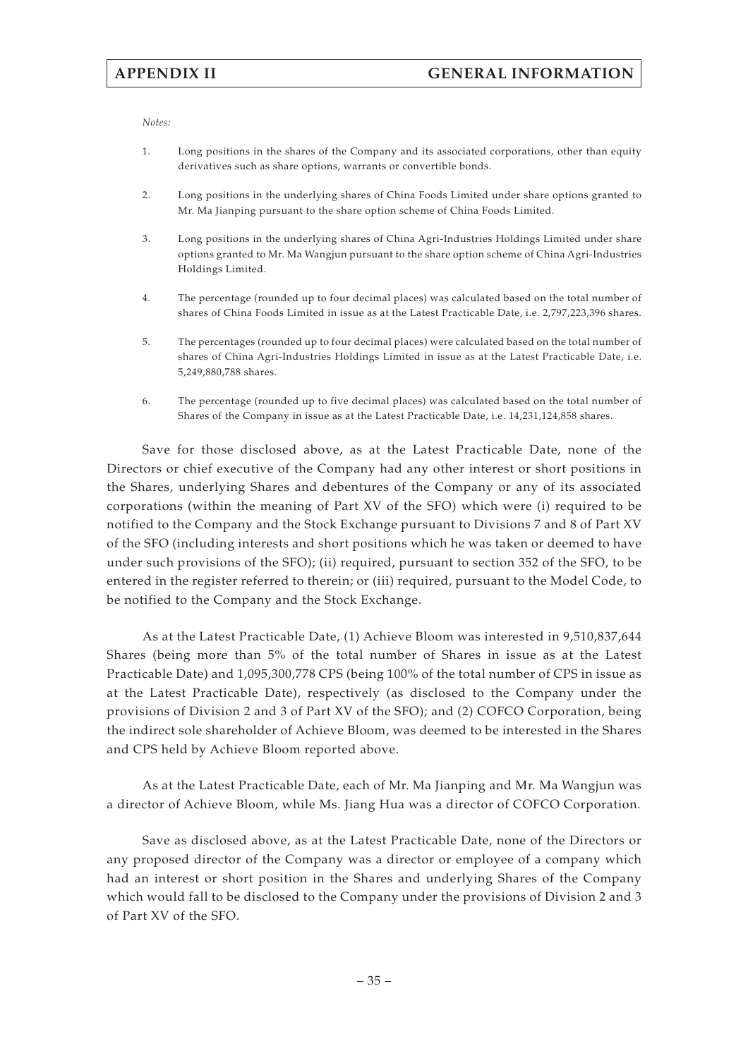*Notes:*

- 1. Long positions in the shares of the Company and its associated corporations, other than equity derivatives such as share options, warrants or convertible bonds.
- 2. Long positions in the underlying shares of China Foods Limited under share options granted to Mr. Ma Jianping pursuant to the share option scheme of China Foods Limited.
- 3. Long positions in the underlying shares of China Agri-Industries Holdings Limited under share options granted to Mr. Ma Wangjun pursuant to the share option scheme of China Agri-Industries Holdings Limited.
- 4. The percentage (rounded up to four decimal places) was calculated based on the total number of shares of China Foods Limited in issue as at the Latest Practicable Date, i.e. 2,797,223,396 shares.
- 5. The percentages (rounded up to four decimal places) were calculated based on the total number of shares of China Agri-Industries Holdings Limited in issue as at the Latest Practicable Date, i.e. 5,249,880,788 shares.
- 6. The percentage (rounded up to five decimal places) was calculated based on the total number of Shares of the Company in issue as at the Latest Practicable Date, i.e. 14,231,124,858 shares.

Save for those disclosed above, as at the Latest Practicable Date, none of the Directors or chief executive of the Company had any other interest or short positions in the Shares, underlying Shares and debentures of the Company or any of its associated corporations (within the meaning of Part XV of the SFO) which were (i) required to be notified to the Company and the Stock Exchange pursuant to Divisions 7 and 8 of Part XV of the SFO (including interests and short positions which he was taken or deemed to have under such provisions of the SFO); (ii) required, pursuant to section 352 of the SFO, to be entered in the register referred to therein; or (iii) required, pursuant to the Model Code, to be notified to the Company and the Stock Exchange.

As at the Latest Practicable Date, (1) Achieve Bloom was interested in 9,510,837,644 Shares (being more than 5% of the total number of Shares in issue as at the Latest Practicable Date) and 1,095,300,778 CPS (being 100% of the total number of CPS in issue as at the Latest Practicable Date), respectively (as disclosed to the Company under the provisions of Division 2 and 3 of Part XV of the SFO); and (2) COFCO Corporation, being the indirect sole shareholder of Achieve Bloom, was deemed to be interested in the Shares and CPS held by Achieve Bloom reported above.

As at the Latest Practicable Date, each of Mr. Ma Jianping and Mr. Ma Wangjun was a director of Achieve Bloom, while Ms. Jiang Hua was a director of COFCO Corporation.

Save as disclosed above, as at the Latest Practicable Date, none of the Directors or any proposed director of the Company was a director or employee of a company which had an interest or short position in the Shares and underlying Shares of the Company which would fall to be disclosed to the Company under the provisions of Division 2 and 3 of Part XV of the SFO.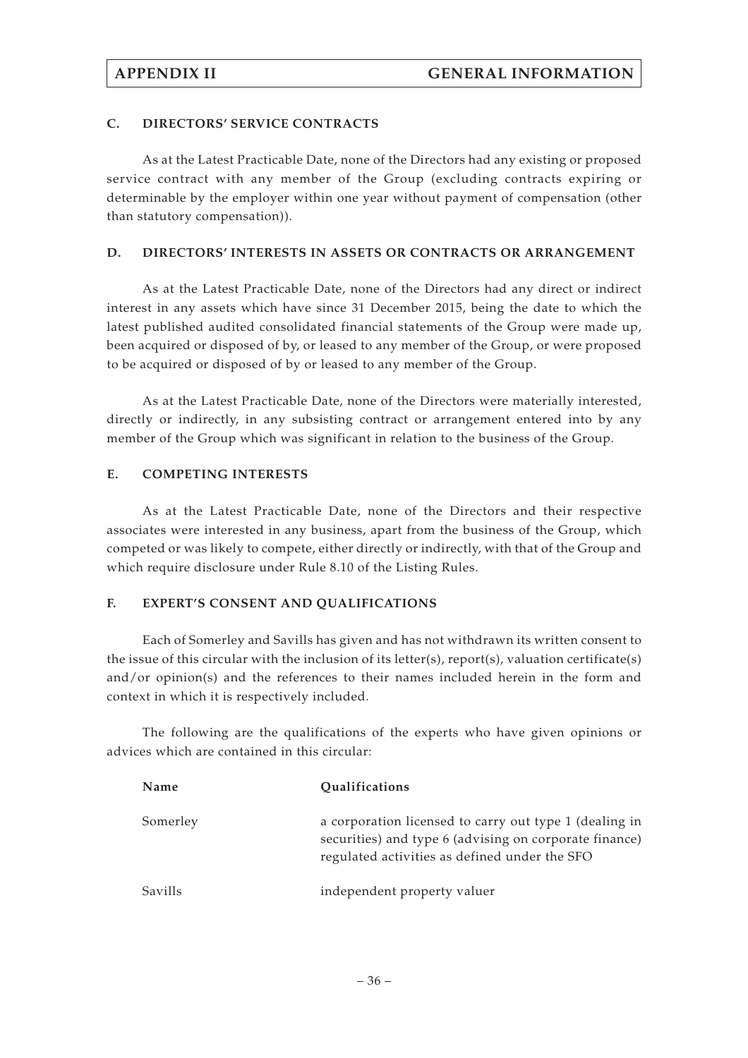## **C. DIRECTORS' SERVICE CONTRACTS**

As at the Latest Practicable Date, none of the Directors had any existing or proposed service contract with any member of the Group (excluding contracts expiring or determinable by the employer within one year without payment of compensation (other than statutory compensation)).

## **D. DIRECTORS' INTERESTS IN ASSETS OR CONTRACTS OR ARRANGEMENT**

As at the Latest Practicable Date, none of the Directors had any direct or indirect interest in any assets which have since 31 December 2015, being the date to which the latest published audited consolidated financial statements of the Group were made up, been acquired or disposed of by, or leased to any member of the Group, or were proposed to be acquired or disposed of by or leased to any member of the Group.

As at the Latest Practicable Date, none of the Directors were materially interested, directly or indirectly, in any subsisting contract or arrangement entered into by any member of the Group which was significant in relation to the business of the Group.

## **E. COMPETING INTERESTS**

As at the Latest Practicable Date, none of the Directors and their respective associates were interested in any business, apart from the business of the Group, which competed or was likely to compete, either directly or indirectly, with that of the Group and which require disclosure under Rule 8.10 of the Listing Rules.

## **F. EXPERT'S CONSENT AND QUALIFICATIONS**

Each of Somerley and Savills has given and has not withdrawn its written consent to the issue of this circular with the inclusion of its letter(s), report(s), valuation certificate(s) and/or opinion(s) and the references to their names included herein in the form and context in which it is respectively included.

The following are the qualifications of the experts who have given opinions or advices which are contained in this circular:

| Name     | Qualifications                                                                                                                                                    |
|----------|-------------------------------------------------------------------------------------------------------------------------------------------------------------------|
| Somerley | a corporation licensed to carry out type 1 (dealing in<br>securities) and type 6 (advising on corporate finance)<br>regulated activities as defined under the SFO |
| Savills  | independent property valuer                                                                                                                                       |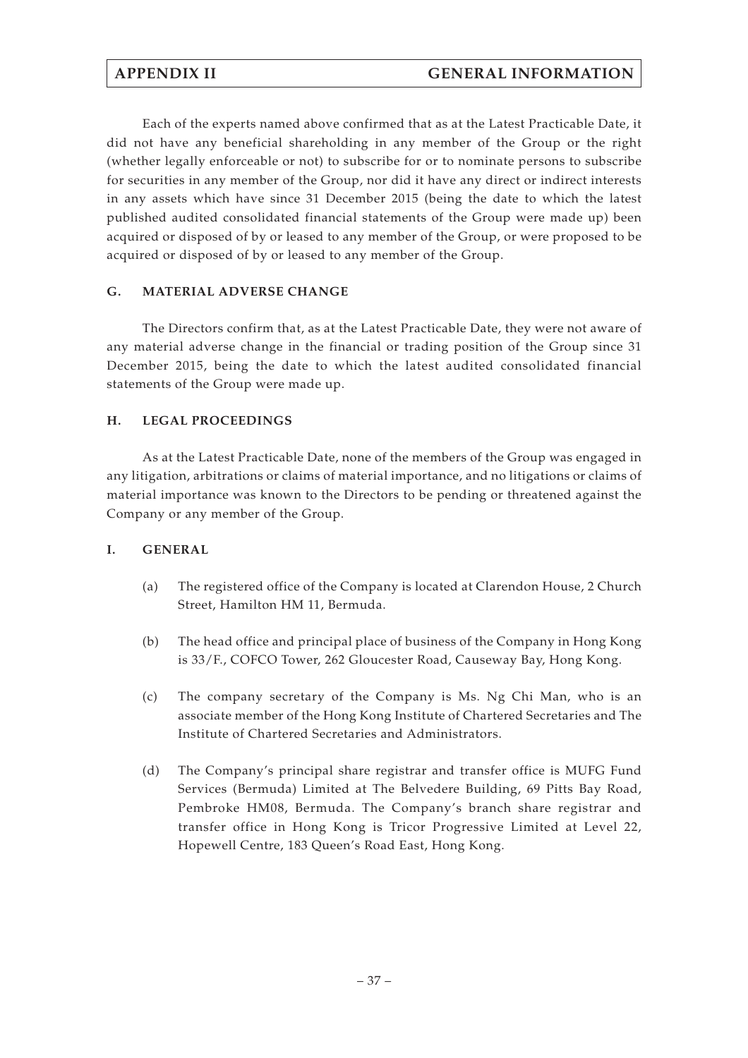Each of the experts named above confirmed that as at the Latest Practicable Date, it did not have any beneficial shareholding in any member of the Group or the right (whether legally enforceable or not) to subscribe for or to nominate persons to subscribe for securities in any member of the Group, nor did it have any direct or indirect interests in any assets which have since 31 December 2015 (being the date to which the latest published audited consolidated financial statements of the Group were made up) been acquired or disposed of by or leased to any member of the Group, or were proposed to be acquired or disposed of by or leased to any member of the Group.

# **G. MATERIAL ADVERSE CHANGE**

The Directors confirm that, as at the Latest Practicable Date, they were not aware of any material adverse change in the financial or trading position of the Group since 31 December 2015, being the date to which the latest audited consolidated financial statements of the Group were made up.

## **H. LEGAL PROCEEDINGS**

As at the Latest Practicable Date, none of the members of the Group was engaged in any litigation, arbitrations or claims of material importance, and no litigations or claims of material importance was known to the Directors to be pending or threatened against the Company or any member of the Group.

## **I. GENERAL**

- (a) The registered office of the Company is located at Clarendon House, 2 Church Street, Hamilton HM 11, Bermuda.
- (b) The head office and principal place of business of the Company in Hong Kong is 33/F., COFCO Tower, 262 Gloucester Road, Causeway Bay, Hong Kong.
- (c) The company secretary of the Company is Ms. Ng Chi Man, who is an associate member of the Hong Kong Institute of Chartered Secretaries and The Institute of Chartered Secretaries and Administrators.
- (d) The Company's principal share registrar and transfer office is MUFG Fund Services (Bermuda) Limited at The Belvedere Building, 69 Pitts Bay Road, Pembroke HM08, Bermuda. The Company's branch share registrar and transfer office in Hong Kong is Tricor Progressive Limited at Level 22, Hopewell Centre, 183 Queen's Road East, Hong Kong.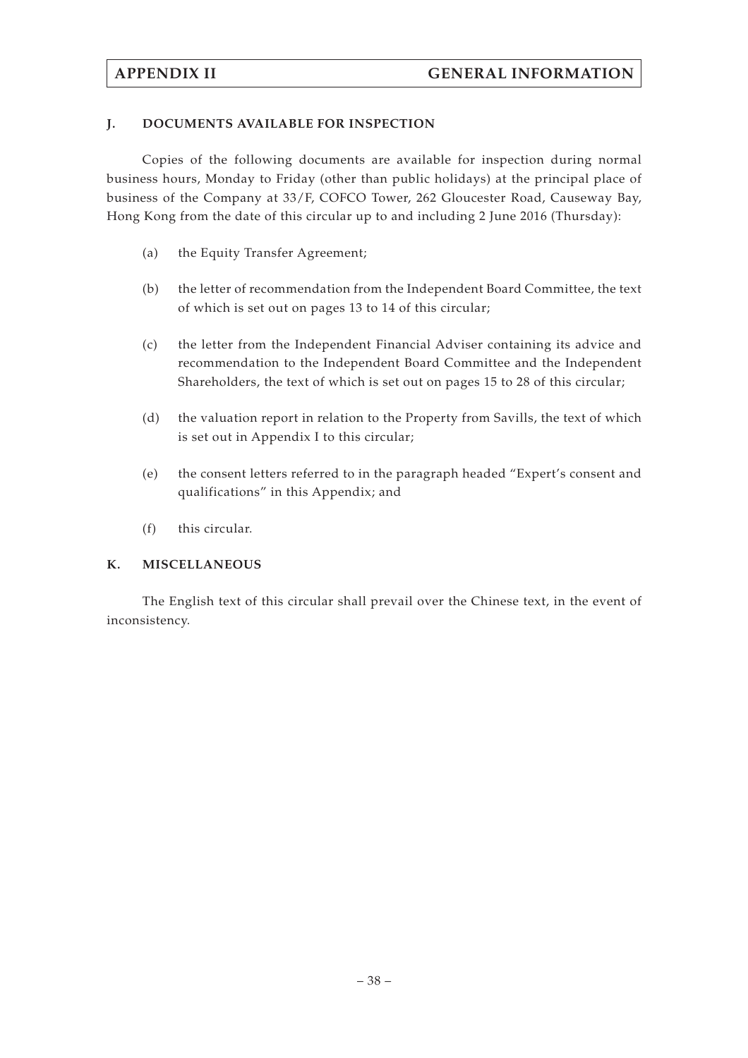## **J. DOCUMENTS AVAILABLE FOR INSPECTION**

Copies of the following documents are available for inspection during normal business hours, Monday to Friday (other than public holidays) at the principal place of business of the Company at 33/F, COFCO Tower, 262 Gloucester Road, Causeway Bay, Hong Kong from the date of this circular up to and including 2 June 2016 (Thursday):

- (a) the Equity Transfer Agreement;
- (b) the letter of recommendation from the Independent Board Committee, the text of which is set out on pages 13 to 14 of this circular;
- (c) the letter from the Independent Financial Adviser containing its advice and recommendation to the Independent Board Committee and the Independent Shareholders, the text of which is set out on pages 15 to 28 of this circular;
- (d) the valuation report in relation to the Property from Savills, the text of which is set out in Appendix I to this circular;
- (e) the consent letters referred to in the paragraph headed "Expert's consent and qualifications" in this Appendix; and
- (f) this circular.

## **K. MISCELLANEOUS**

The English text of this circular shall prevail over the Chinese text, in the event of inconsistency.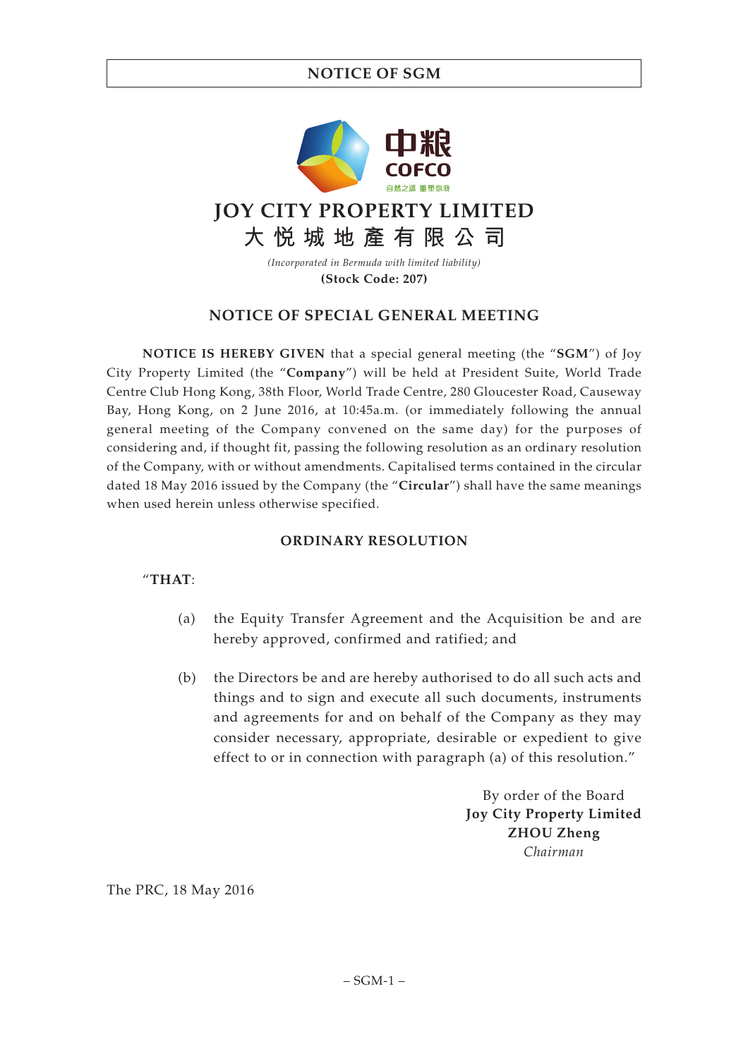# **NOTICE OF SGM**



**(Stock Code: 207)**

# **NOTICE OF SPECIAL GENERAL MEETING**

**NOTICE IS HEREBY GIVEN** that a special general meeting (the "**SGM**") of Joy City Property Limited (the "**Company**") will be held at President Suite, World Trade Centre Club Hong Kong, 38th Floor, World Trade Centre, 280 Gloucester Road, Causeway Bay, Hong Kong, on 2 June 2016, at 10:45a.m. (or immediately following the annual general meeting of the Company convened on the same day) for the purposes of considering and, if thought fit, passing the following resolution as an ordinary resolution of the Company, with or without amendments. Capitalised terms contained in the circular dated 18 May 2016 issued by the Company (the "**Circular**") shall have the same meanings when used herein unless otherwise specified.

# **ORDINARY RESOLUTION**

## "**THAT**:

- (a) the Equity Transfer Agreement and the Acquisition be and are hereby approved, confirmed and ratified; and
- (b) the Directors be and are hereby authorised to do all such acts and things and to sign and execute all such documents, instruments and agreements for and on behalf of the Company as they may consider necessary, appropriate, desirable or expedient to give effect to or in connection with paragraph (a) of this resolution."

By order of the Board **Joy City Property Limited ZHOU Zheng** *Chairman*

The PRC, 18 May 2016